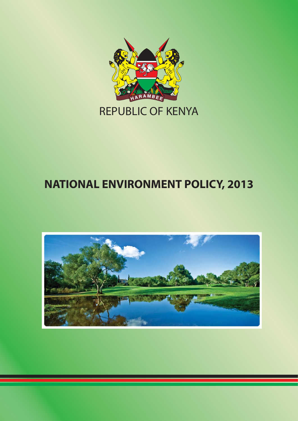

## **NATIONAL ENVIRONMENT POLICY, 2013**

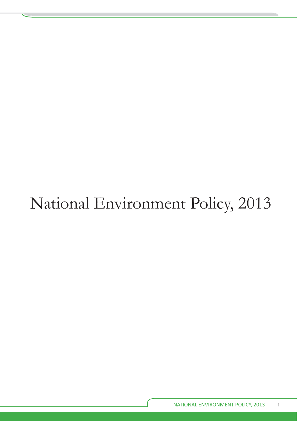# National Environment Policy, 2013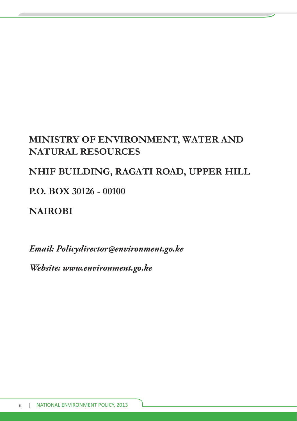## **MINISTRY OF ENVIRONMENT, WATER AND NATURAL RESOURCES**

## **NHIF BUILDING, RAGATI ROAD, UPPER HILL**

**P.O. BOX 30126 - 00100**

**NAIROBI**

*Email: Policydirector@environment.go.ke*

*Website: www.environment.go.ke*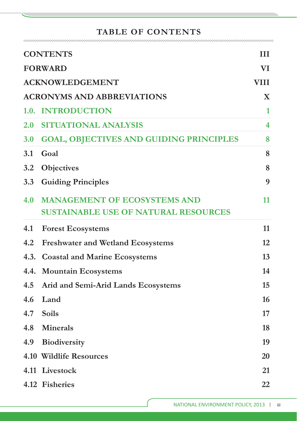#### **TABLE OF CONTENTS**

| <b>CONTENTS</b>                        |                                             |    |  |  |
|----------------------------------------|---------------------------------------------|----|--|--|
| <b>FORWARD</b>                         |                                             |    |  |  |
| <b>ACKNOWLEDGEMENT</b><br><b>VIII</b>  |                                             |    |  |  |
| <b>ACRONYMS AND ABBREVIATIONS</b><br>X |                                             |    |  |  |
|                                        | 1.0. INTRODUCTION                           | 1  |  |  |
|                                        | 2.0 SITUATIONAL ANALYSIS                    | 4  |  |  |
|                                        | 3.0 GOAL, OBJECTIVES AND GUIDING PRINCIPLES | 8  |  |  |
|                                        | 3.1 Goal                                    | 8  |  |  |
|                                        | 3.2 Objectives                              | 8  |  |  |
| 3.3                                    | <b>Guiding Principles</b>                   | 9  |  |  |
| 4.0                                    | <b>MANAGEMENT OF ECOSYSTEMS AND</b>         | 11 |  |  |
|                                        | <b>SUSTAINABLE USE OF NATURAL RESOURCES</b> |    |  |  |
| 4.1                                    | <b>Forest Ecosystems</b>                    | 11 |  |  |
| 4.2                                    | <b>Freshwater and Wetland Ecosystems</b>    | 12 |  |  |
| 4.3.                                   | <b>Coastal and Marine Ecosystems</b>        | 13 |  |  |
| 4.4.                                   | <b>Mountain Ecosystems</b>                  | 14 |  |  |
| 4.5                                    | Arid and Semi-Arid Lands Ecosystems         | 15 |  |  |
| 4.6                                    | Land                                        | 16 |  |  |
|                                        | 4.7 Soils                                   | 17 |  |  |
|                                        | 4.8 Minerals                                | 18 |  |  |
| 4.9                                    | <b>Biodiversity</b>                         | 19 |  |  |
|                                        | 4.10 Wildlife Resources                     | 20 |  |  |
|                                        | 4.11 Livestock                              | 21 |  |  |
|                                        | 4.12 Fisheries                              | 22 |  |  |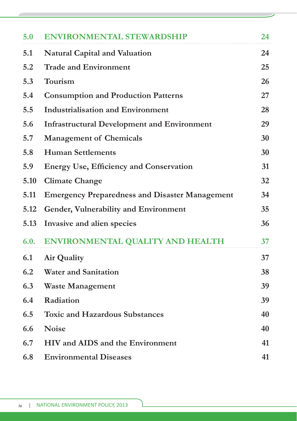| 5.0  | <b>ENVIRONMENTAL STEWARDSHIP</b>                      | 24 |
|------|-------------------------------------------------------|----|
| 5.1  | <b>Natural Capital and Valuation</b>                  | 24 |
| 5.2  | <b>Trade and Environment</b>                          | 25 |
| 5.3  | Tourism                                               | 26 |
| 5.4  | <b>Consumption and Production Patterns</b>            | 27 |
| 5.5  | <b>Industrialisation and Environment</b>              | 28 |
| 5.6  | <b>Infrastructural Development and Environment</b>    | 29 |
| 5.7  | <b>Management of Chemicals</b>                        | 30 |
| 5.8  | <b>Human Settlements</b>                              | 30 |
| 5.9  | <b>Energy Use, Efficiency and Conservation</b>        | 31 |
| 5.10 | <b>Climate Change</b>                                 | 32 |
| 5.11 | <b>Emergency Preparedness and Disaster Management</b> | 34 |
| 5.12 | Gender, Vulnerability and Environment                 | 35 |
| 5.13 | Invasive and alien species                            | 36 |
| 6.0. | ENVIRONMENTAL QUALITY AND HEALTH                      | 37 |
| 6.1  | <b>Air Quality</b>                                    | 37 |
| 6.2  | <b>Water and Sanitation</b>                           | 38 |
| 6.3  | <b>Waste Management</b>                               | 39 |
| 6.4  | Radiation                                             | 39 |
| 6.5  | <b>Toxic and Hazardous Substances</b>                 | 40 |
| 6.6  | <b>Noise</b>                                          | 40 |
| 6.7  | HIV and AIDS and the Environment                      | 41 |
| 6.8  | <b>Environmental Diseases</b>                         | 41 |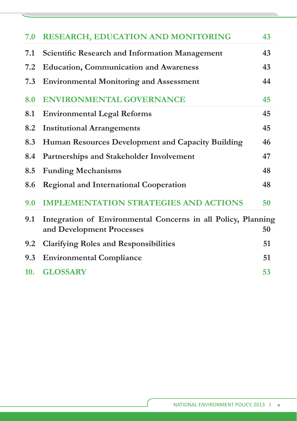| 7.0 | <b>RESEARCH, EDUCATION AND MONITORING</b>                                                  | 43 |
|-----|--------------------------------------------------------------------------------------------|----|
| 7.1 | <b>Scientific Research and Information Management</b>                                      | 43 |
| 7.2 | <b>Education, Communication and Awareness</b>                                              | 43 |
| 7.3 | <b>Environmental Monitoring and Assessment</b>                                             | 44 |
| 8.0 | <b>ENVIRONMENTAL GOVERNANCE</b>                                                            | 45 |
| 8.1 | <b>Environmental Legal Reforms</b>                                                         | 45 |
| 8.2 | <b>Institutional Arrangements</b>                                                          | 45 |
| 8.3 | Human Resources Development and Capacity Building                                          | 46 |
| 8.4 | Partnerships and Stakeholder Involvement                                                   | 47 |
| 8.5 | <b>Funding Mechanisms</b>                                                                  | 48 |
| 8.6 | <b>Regional and International Cooperation</b>                                              | 48 |
| 9.0 | <b>IMPLEMENTATION STRATEGIES AND ACTIONS</b>                                               | 50 |
| 9.1 | Integration of Environmental Concerns in all Policy, Planning<br>and Development Processes | 50 |
| 9.2 | <b>Clarifying Roles and Responsibilities</b>                                               | 51 |
| 9.3 | <b>Environmental Compliance</b>                                                            | 51 |
| 10. | <b>GLOSSARY</b>                                                                            | 53 |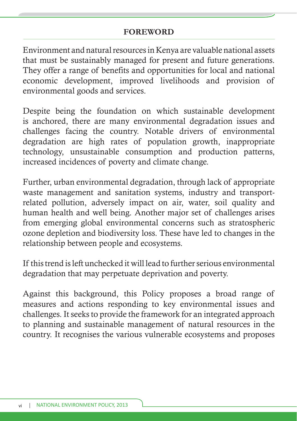#### **FOREWORD**

Environment and natural resources in Kenya are valuable national assets that must be sustainably managed for present and future generations. They offer a range of benefits and opportunities for local and national economic development, improved livelihoods and provision of environmental goods and services.

Despite being the foundation on which sustainable development is anchored, there are many environmental degradation issues and challenges facing the country. Notable drivers of environmental degradation are high rates of population growth, inappropriate technology, unsustainable consumption and production patterns, increased incidences of poverty and climate change.

Further, urban environmental degradation, through lack of appropriate waste management and sanitation systems, industry and transportrelated pollution, adversely impact on air, water, soil quality and human health and well being. Another major set of challenges arises from emerging global environmental concerns such as stratospheric ozone depletion and biodiversity loss. These have led to changes in the relationship between people and ecosystems.

If this trend is left unchecked it will lead to further serious environmental degradation that may perpetuate deprivation and poverty.

Against this background, this Policy proposes a broad range of measures and actions responding to key environmental issues and challenges. It seeks to provide the framework for an integrated approach to planning and sustainable management of natural resources in the country. It recognises the various vulnerable ecosystems and proposes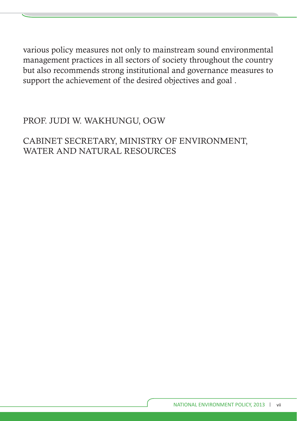various policy measures not only to mainstream sound environmental management practices in all sectors of society throughout the country but also recommends strong institutional and governance measures to support the achievement of the desired objectives and goal .

## PROF. JUDI W. WAKHUNGU, OGW

CABINET SECRETARY, MINISTRY OF ENVIRONMENT, WATER AND NATURAL RESOURCES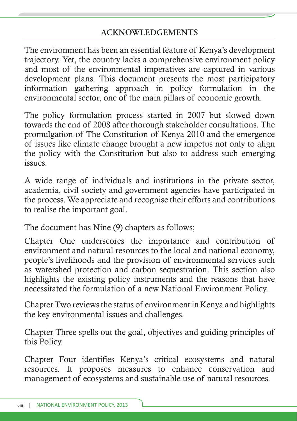The environment has been an essential feature of Kenya's development trajectory. Yet, the country lacks a comprehensive environment policy and most of the environmental imperatives are captured in various development plans. This document presents the most participatory information gathering approach in policy formulation in the environmental sector, one of the main pillars of economic growth.

The policy formulation process started in 2007 but slowed down towards the end of 2008 after thorough stakeholder consultations. The promulgation of The Constitution of Kenya 2010 and the emergence of issues like climate change brought a new impetus not only to align the policy with the Constitution but also to address such emerging issues.

A wide range of individuals and institutions in the private sector, academia, civil society and government agencies have participated in the process. We appreciate and recognise their efforts and contributions to realise the important goal.

The document has Nine (9) chapters as follows;

Chapter One underscores the importance and contribution of environment and natural resources to the local and national economy, people's livelihoods and the provision of environmental services such as watershed protection and carbon sequestration. This section also highlights the existing policy instruments and the reasons that have necessitated the formulation of a new National Environment Policy.

Chapter Two reviews the status of environment in Kenya and highlights the key environmental issues and challenges.

Chapter Three spells out the goal, objectives and guiding principles of this Policy.

Chapter Four identifies Kenya's critical ecosystems and natural resources. It proposes measures to enhance conservation and management of ecosystems and sustainable use of natural resources.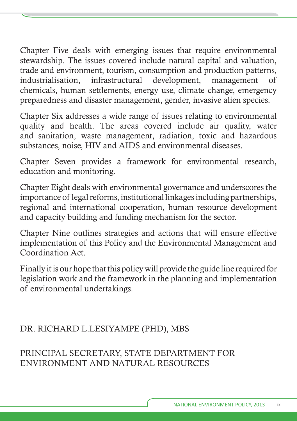Chapter Five deals with emerging issues that require environmental stewardship. The issues covered include natural capital and valuation, trade and environment, tourism, consumption and production patterns, industrialisation, infrastructural development, management of chemicals, human settlements, energy use, climate change, emergency preparedness and disaster management, gender, invasive alien species.

Chapter Six addresses a wide range of issues relating to environmental quality and health. The areas covered include air quality, water and sanitation, waste management, radiation, toxic and hazardous substances, noise, HIV and AIDS and environmental diseases.

Chapter Seven provides a framework for environmental research, education and monitoring.

Chapter Eight deals with environmental governance and underscores the importance of legal reforms, institutional linkages including partnerships, regional and international cooperation, human resource development and capacity building and funding mechanism for the sector.

Chapter Nine outlines strategies and actions that will ensure effective implementation of this Policy and the Environmental Management and Coordination Act.

Finally it is our hope that this policy will provide the guide line required for legislation work and the framework in the planning and implementation of environmental undertakings.

## DR. RICHARD L.LESIYAMPE (PHD), MBS

PRINCIPAL SECRETARY, STATE DEPARTMENT FOR ENVIRONMENT AND NATURAL RESOURCES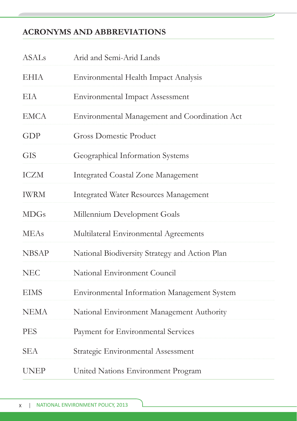## **ACRONYMS AND ABBREVIATIONS**

| <b>ASALs</b> | Arid and Semi-Arid Lands                       |
|--------------|------------------------------------------------|
| <b>EHIA</b>  | Environmental Health Impact Analysis           |
| EIA          | <b>Environmental Impact Assessment</b>         |
| <b>EMCA</b>  | Environmental Management and Coordination Act  |
| GDP          | <b>Gross Domestic Product</b>                  |
| <b>GIS</b>   | Geographical Information Systems               |
| <b>ICZM</b>  | <b>Integrated Coastal Zone Management</b>      |
| <b>IWRM</b>  | <b>Integrated Water Resources Management</b>   |
| <b>MDGs</b>  | Millennium Development Goals                   |
| <b>MEAs</b>  | Multilateral Environmental Agreements          |
| <b>NBSAP</b> | National Biodiversity Strategy and Action Plan |
| <b>NEC</b>   | National Environment Council                   |
| <b>EIMS</b>  | Environmental Information Management System    |
| <b>NEMA</b>  | National Environment Management Authority      |
| <b>PES</b>   | Payment for Environmental Services             |
| <b>SEA</b>   | Strategic Environmental Assessment             |
| <b>UNEP</b>  | United Nations Environment Program             |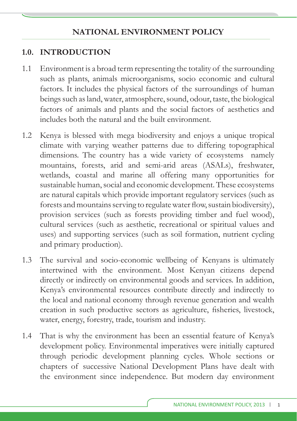## **1.0. INTRODUCTION**

- 1.1 Environment is a broad term representing the totality of the surrounding such as plants, animals microorganisms, socio economic and cultural factors. It includes the physical factors of the surroundings of human beings such as land, water, atmosphere, sound, odour, taste, the biological factors of animals and plants and the social factors of aesthetics and includes both the natural and the built environment.
- 1.2 Kenya is blessed with mega biodiversity and enjoys a unique tropical climate with varying weather patterns due to differing topographical dimensions. The country has a wide variety of ecosystems namely mountains, forests, arid and semi-arid areas (ASALs), freshwater, wetlands, coastal and marine all offering many opportunities for sustainable human, social and economic development. These ecosystems are natural capitals which provide important regulatory services (such as forests and mountains serving to regulate water flow, sustain biodiversity), provision services (such as forests providing timber and fuel wood), cultural services (such as aesthetic, recreational or spiritual values and uses) and supporting services (such as soil formation, nutrient cycling and primary production).
- 1.3 The survival and socio-economic wellbeing of Kenyans is ultimately intertwined with the environment. Most Kenyan citizens depend directly or indirectly on environmental goods and services. In addition, Kenya's environmental resources contribute directly and indirectly to the local and national economy through revenue generation and wealth creation in such productive sectors as agriculture, fisheries, livestock, water, energy, forestry, trade, tourism and industry.
- 1.4 That is why the environment has been an essential feature of Kenya's development policy. Environmental imperatives were initially captured through periodic development planning cycles. Whole sections or chapters of successive National Development Plans have dealt with the environment since independence. But modern day environment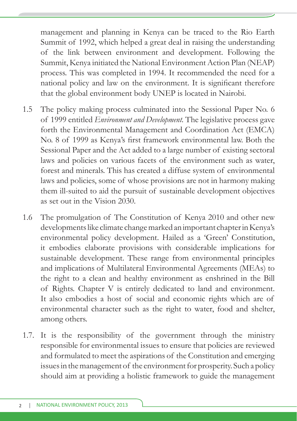management and planning in Kenya can be traced to the Rio Earth Summit of 1992, which helped a great deal in raising the understanding of the link between environment and development. Following the Summit, Kenya initiated the National Environment Action Plan (NEAP) process. This was completed in 1994. It recommended the need for a national policy and law on the environment. It is significant therefore that the global environment body UNEP is located in Nairobi.

- 1.5 The policy making process culminated into the Sessional Paper No. 6 of 1999 entitled *Environment and Development.* The legislative process gave forth the Environmental Management and Coordination Act (EMCA) No. 8 of 1999 as Kenya's first framework environmental law. Both the Sessional Paper and the Act added to a large number of existing sectoral laws and policies on various facets of the environment such as water, forest and minerals. This has created a diffuse system of environmental laws and policies, some of whose provisions are not in harmony making them ill-suited to aid the pursuit of sustainable development objectives as set out in the Vision 2030.
- 1.6 The promulgation of The Constitution of Kenya 2010 and other new developments like climate change marked an important chapter in Kenya's environmental policy development. Hailed as a 'Green' Constitution, it embodies elaborate provisions with considerable implications for sustainable development. These range from environmental principles and implications of Multilateral Environmental Agreements (MEAs) to the right to a clean and healthy environment as enshrined in the Bill of Rights. Chapter V is entirely dedicated to land and environment. It also embodies a host of social and economic rights which are of environmental character such as the right to water, food and shelter, among others.
- 1.7. It is the responsibility of the government through the ministry responsible for environmental issues to ensure that policies are reviewed and formulated to meet the aspirations of the Constitution and emerging issues in the management of the environment for prosperity. Such a policy should aim at providing a holistic framework to guide the management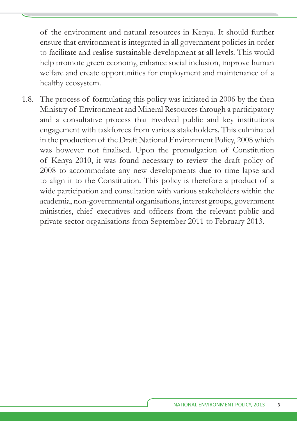of the environment and natural resources in Kenya. It should further ensure that environment is integrated in all government policies in order to facilitate and realise sustainable development at all levels. This would help promote green economy, enhance social inclusion, improve human welfare and create opportunities for employment and maintenance of a healthy ecosystem.

1.8. The process of formulating this policy was initiated in 2006 by the then Ministry of Environment and Mineral Resources through a participatory and a consultative process that involved public and key institutions engagement with taskforces from various stakeholders. This culminated in the production of the Draft National Environment Policy, 2008 which was however not finalised. Upon the promulgation of Constitution of Kenya 2010, it was found necessary to review the draft policy of 2008 to accommodate any new developments due to time lapse and to align it to the Constitution. This policy is therefore a product of a wide participation and consultation with various stakeholders within the academia, non-governmental organisations, interest groups, government ministries, chief executives and officers from the relevant public and private sector organisations from September 2011 to February 2013.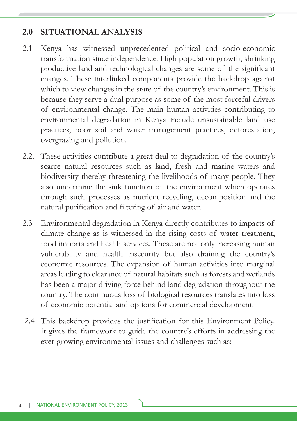#### **2.0 SITUATIONAL ANALYSIS**

- 2.1 Kenya has witnessed unprecedented political and socio-economic transformation since independence. High population growth, shrinking productive land and technological changes are some of the significant changes. These interlinked components provide the backdrop against which to view changes in the state of the country's environment. This is because they serve a dual purpose as some of the most forceful drivers of environmental change. The main human activities contributing to environmental degradation in Kenya include unsustainable land use practices, poor soil and water management practices, deforestation, overgrazing and pollution.
- 2.2. These activities contribute a great deal to degradation of the country's scarce natural resources such as land, fresh and marine waters and biodiversity thereby threatening the livelihoods of many people. They also undermine the sink function of the environment which operates through such processes as nutrient recycling, decomposition and the natural purification and filtering of air and water.
- 2.3 Environmental degradation in Kenya directly contributes to impacts of climate change as is witnessed in the rising costs of water treatment, food imports and health services. These are not only increasing human vulnerability and health insecurity but also draining the country's economic resources. The expansion of human activities into marginal areas leading to clearance of natural habitats such as forests and wetlands has been a major driving force behind land degradation throughout the country. The continuous loss of biological resources translates into loss of economic potential and options for commercial development.
- 2.4 This backdrop provides the justification for this Environment Policy. It gives the framework to guide the country's efforts in addressing the ever-growing environmental issues and challenges such as: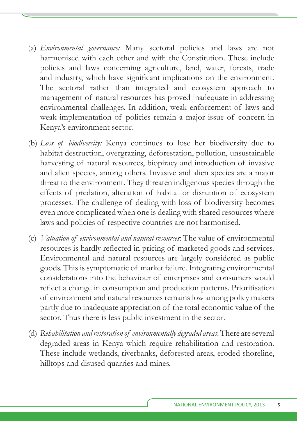- (a) *Environmental governance:* Many sectoral policies and laws are not harmonised with each other and with the Constitution. These include policies and laws concerning agriculture, land, water, forests, trade and industry, which have significant implications on the environment. The sectoral rather than integrated and ecosystem approach to management of natural resources has proved inadequate in addressing environmental challenges. In addition, weak enforcement of laws and weak implementation of policies remain a major issue of concern in Kenya's environment sector.
- (b) *Loss of biodiversity:* Kenya continues to lose her biodiversity due to habitat destruction, overgrazing, deforestation, pollution, unsustainable harvesting of natural resources, biopiracy and introduction of invasive and alien species, among others. Invasive and alien species are a major threat to the environment. They threaten indigenous species through the effects of predation, alteration of habitat or disruption of ecosystem processes. The challenge of dealing with loss of biodiversity becomes even more complicated when one is dealing with shared resources where laws and policies of respective countries are not harmonised.
- (c) *Valuation of environmental and natural resources*: The value of environmental resources is hardly reflected in pricing of marketed goods and services. Environmental and natural resources are largely considered as public goods. This is symptomatic of market failure. Integrating environmental considerations into the behaviour of enterprises and consumers would reflect a change in consumption and production patterns. Prioritisation of environment and natural resources remains low among policy makers partly due to inadequate appreciation of the total economic value of the sector. Thus there is less public investment in the sector.
- (d) *Rehabilitation and restoration of environmentally degraded areas*: There are several degraded areas in Kenya which require rehabilitation and restoration. These include wetlands, riverbanks, deforested areas, eroded shoreline, hilltops and disused quarries and mines.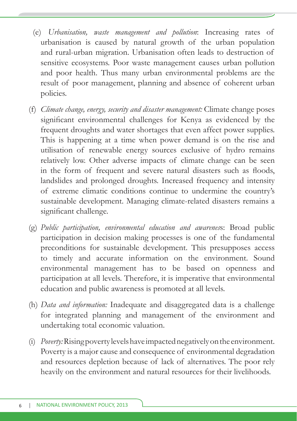- (e) *Urbanisation, waste management and pollution*: Increasing rates of urbanisation is caused by natural growth of the urban population and rural-urban migration. Urbanisation often leads to destruction of sensitive ecosystems. Poor waste management causes urban pollution and poor health. Thus many urban environmental problems are the result of poor management, planning and absence of coherent urban policies.
- (f) *Climate change, energy, security and disaster management:* Climate change poses significant environmental challenges for Kenya as evidenced by the frequent droughts and water shortages that even affect power supplies. This is happening at a time when power demand is on the rise and utilisation of renewable energy sources exclusive of hydro remains relatively low. Other adverse impacts of climate change can be seen in the form of frequent and severe natural disasters such as floods, landslides and prolonged droughts. Increased frequency and intensity of extreme climatic conditions continue to undermine the country's sustainable development. Managing climate-related disasters remains a significant challenge.
- (g) *Public participation, environmental education and awarenes*s: Broad public participation in decision making processes is one of the fundamental preconditions for sustainable development. This presupposes access to timely and accurate information on the environment. Sound environmental management has to be based on openness and participation at all levels. Therefore, it is imperative that environmental education and public awareness is promoted at all levels.
- (h) *Data and information:* Inadequate and disaggregated data is a challenge for integrated planning and management of the environment and undertaking total economic valuation.
- (i) *Poverty:* Rising poverty levels have impacted negatively on the environment. Poverty is a major cause and consequence of environmental degradation and resources depletion because of lack of alternatives. The poor rely heavily on the environment and natural resources for their livelihoods.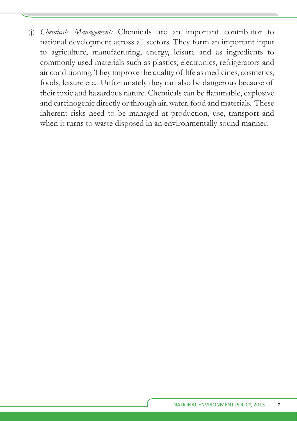(j) *Chemicals Management:* Chemicals are an important contributor to national development across all sectors. They form an important input to agriculture, manufacturing, energy, leisure and as ingredients to commonly used materials such as plastics, electronics, refrigerators and air conditioning. They improve the quality of life as medicines, cosmetics, foods, leisure etc. Unfortunately they can also be dangerous because of their toxic and hazardous nature. Chemicals can be flammable, explosive and carcinogenic directly or through air, water, food and materials. These inherent risks need to be managed at production, use, transport and when it turns to waste disposed in an environmentally sound manner.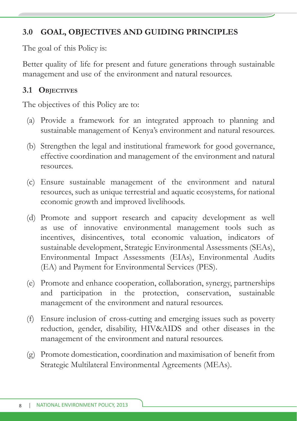## **3.0 GOAL, OBJECTIVES AND GUIDING PRINCIPLES**

The goal of this Policy is:

Better quality of life for present and future generations through sustainable management and use of the environment and natural resources.

#### **3.1 OBJECTIVES**

The objectives of this Policy are to:

- (a) Provide a framework for an integrated approach to planning and sustainable management of Kenya's environment and natural resources.
- (b) Strengthen the legal and institutional framework for good governance, effective coordination and management of the environment and natural resources.
- (c) Ensure sustainable management of the environment and natural resources, such as unique terrestrial and aquatic ecosystems, for national economic growth and improved livelihoods.
- (d) Promote and support research and capacity development as well as use of innovative environmental management tools such as incentives, disincentives, total economic valuation, indicators of sustainable development, Strategic Environmental Assessments (SEAs), Environmental Impact Assessments (EIAs), Environmental Audits (EA) and Payment for Environmental Services (PES).
- (e) Promote and enhance cooperation, collaboration, synergy, partnerships and participation in the protection, conservation, sustainable management of the environment and natural resources.
- (f) Ensure inclusion of cross-cutting and emerging issues such as poverty reduction, gender, disability, HIV&AIDS and other diseases in the management of the environment and natural resources.
- (g) Promote domestication, coordination and maximisation of benefi t from Strategic Multilateral Environmental Agreements (MEAs).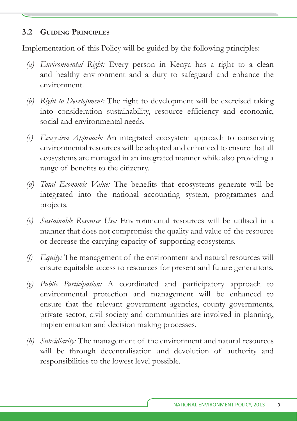#### **3.2 GUIDING PRINCIPLES**

Implementation of this Policy will be guided by the following principles:

- *(a) Environmental Right:* Every person in Kenya has a right to a clean and healthy environment and a duty to safeguard and enhance the environment.
- *(b) Right to Development:* The right to development will be exercised taking into consideration sustainability, resource efficiency and economic, social and environmental needs.
- *(c) Ecosystem Approach:* An integrated ecosystem approach to conserving environmental resources will be adopted and enhanced to ensure that all ecosystems are managed in an integrated manner while also providing a range of benefits to the citizenry.
- *(d)* Total Economic Value: The benefits that ecosystems generate will be integrated into the national accounting system, programmes and projects.
- *(e) Sustainable Resource Use:* Environmental resources will be utilised in a manner that does not compromise the quality and value of the resource or decrease the carrying capacity of supporting ecosystems.
- *(f) Equity:* The management of the environment and natural resources will ensure equitable access to resources for present and future generations.
- *(g) Public Participation:* A coordinated and participatory approach to environmental protection and management will be enhanced to ensure that the relevant government agencies, county governments, private sector, civil society and communities are involved in planning, implementation and decision making processes.
- *(h) Subsidiarity:* The management of the environment and natural resources will be through decentralisation and devolution of authority and responsibilities to the lowest level possible.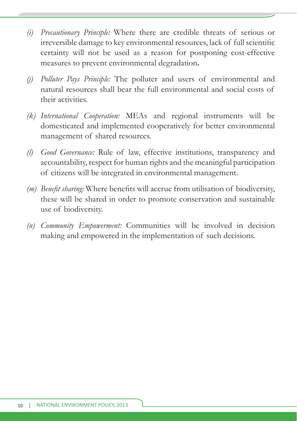- *(i) Precautionary Principle:* Where there are credible threats of serious or irreversible damage to key environmental resources, lack of full scientific certainty will not be used as a reason for postponing cost-effective measures to prevent environmental degradation**.**
- *(j) Polluter Pays Principle:* The polluter and users of environmental and natural resources shall bear the full environmental and social costs of their activities.
- *(k) International Cooperation:* MEAs and regional instruments will be domesticated and implemented cooperatively for better environmental management of shared resources.
- *(l) Good Governance:* Rule of law, effective institutions, transparency and accountability, respect for human rights and the meaningful participation of citizens will be integrated in environmental management.
- *(m)* Benefit sharing: Where benefits will accrue from utilisation of biodiversity, these will be shared in order to promote conservation and sustainable use of biodiversity.
- *(n) Community Empowerment:* Communities will be involved in decision making and empowered in the implementation of such decisions.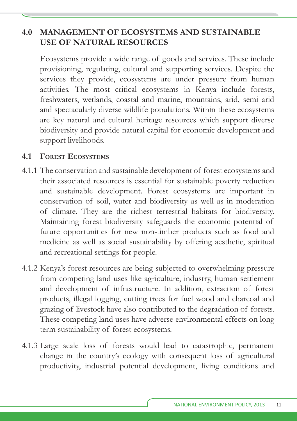## **4.0 MANAGEMENT OF ECOSYSTEMS AND SUSTAINABLE USE OF NATURAL RESOURCES**

Ecosystems provide a wide range of goods and services. These include provisioning, regulating, cultural and supporting services. Despite the services they provide, ecosystems are under pressure from human activities. The most critical ecosystems in Kenya include forests, freshwaters, wetlands, coastal and marine, mountains, arid, semi arid and spectacularly diverse wildlife populations. Within these ecosystems are key natural and cultural heritage resources which support diverse biodiversity and provide natural capital for economic development and support livelihoods.

#### **4.1 FOREST ECOSYSTEMS**

- 4.1.1 The conservation and sustainable development of forest ecosystems and their associated resources is essential for sustainable poverty reduction and sustainable development. Forest ecosystems are important in conservation of soil, water and biodiversity as well as in moderation of climate. They are the richest terrestrial habitats for biodiversity. Maintaining forest biodiversity safeguards the economic potential of future opportunities for new non-timber products such as food and medicine as well as social sustainability by offering aesthetic, spiritual and recreational settings for people.
- 4.1.2 Kenya's forest resources are being subjected to overwhelming pressure from competing land uses like agriculture, industry, human settlement and development of infrastructure. In addition, extraction of forest products, illegal logging, cutting trees for fuel wood and charcoal and grazing of livestock have also contributed to the degradation of forests. These competing land uses have adverse environmental effects on long term sustainability of forest ecosystems.
- 4.1.3 Large scale loss of forests would lead to catastrophic, permanent change in the country's ecology with consequent loss of agricultural productivity, industrial potential development, living conditions and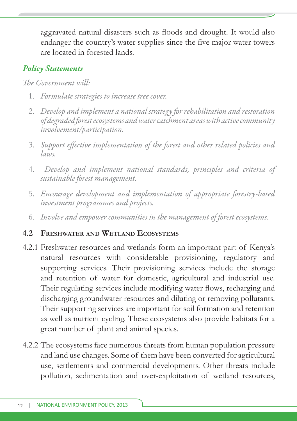aggravated natural disasters such as floods and drought. It would also endanger the country's water supplies since the five major water towers are located in forested lands.

## *Policy Statements*

#### *The Government will*

- 1. *Formulate strategies to increase tree cover.*
- 2. *Develop and implement a national strategy for rehabilitation and restoration of degraded forest ecosystems and water catchment areas with active community involvement/participation.*
- 3. *Support eff ective implementation of the forest and other related policies and laws.*
- 4. *Develop and implement national standards, principles and criteria of sustainable forest management.*
- 5. *Encourage development and implementation of appropriate forestry-based investment programmes and projects.*
- 6. *Involve and empower communities in the management of forest ecosystems.*

#### **4.2 FRESHWATER AND WETLAND ECOSYSTEMS**

- 4.2.1 Freshwater resources and wetlands form an important part of Kenya's natural resources with considerable provisioning, regulatory and supporting services. Their provisioning services include the storage and retention of water for domestic, agricultural and industrial use. Their regulating services include modifying water flows, recharging and discharging groundwater resources and diluting or removing pollutants. Their supporting services are important for soil formation and retention as well as nutrient cycling. These ecosystems also provide habitats for a great number of plant and animal species.
- 4.2.2 The ecosystems face numerous threats from human population pressure and land use changes. Some of them have been converted for agricultural use, settlements and commercial developments. Other threats include pollution, sedimentation and over-exploitation of wetland resources,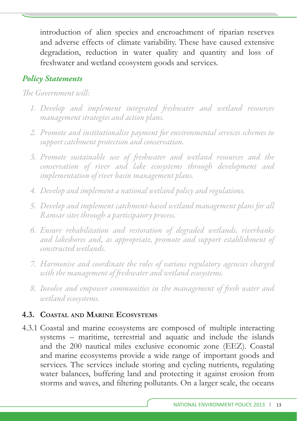introduction of alien species and encroachment of riparian reserves and adverse effects of climate variability. These have caused extensive degradation, reduction in water quality and quantity and loss of freshwater and wetland ecosystem goods and services.

## *Policy Statements*

*The Government will*.

- 1. Develop and implement integrated freshwater and wetland resources *management strategies and action plans.*
- *2. Promote and institutionalise payment for environmental services schemes to support catchment protection and conservation.*
- 3. Promote sustainable use of freshwater and wetland resources and the *conservation of river and lake ecosystems through development and implementation of river basin management plans.*
- *4. Develop and implement a national wetland policy and regulations.*
- *5. Develop and implement catchment-based wetland management plans for all Ramsar sites through a participatory process.*
- *6. Ensure rehabilitation and restoration of degraded wetlands, riverbanks and lakeshores and, as appropriate, promote and support establishment of constructed wetlands.*
- *7. Harmonise and coordinate the roles of various regulatory agencies charged*  with the management of freshwater and wetland ecosystems.
- *8. Involve and empower communities in the management of fr esh water and wetland ecosystems.*

## **4.3. COASTAL AND MARINE ECOSYSTEMS**

4.3.1 Coastal and marine ecosystems are composed of multiple interacting systems – maritime, terrestrial and aquatic and include the islands and the 200 nautical miles exclusive economic zone (EEZ). Coastal and marine ecosystems provide a wide range of important goods and services. The services include storing and cycling nutrients, regulating water balances, buffering land and protecting it against erosion from storms and waves, and filtering pollutants. On a larger scale, the oceans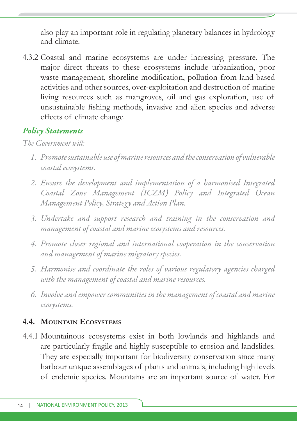also play an important role in regulating planetary balances in hydrology and climate.

4.3.2 Coastal and marine ecosystems are under increasing pressure. The major direct threats to these ecosystems include urbanization, poor waste management, shoreline modification, pollution from land-based activities and other sources, over-exploitation and destruction of marine living resources such as mangroves, oil and gas exploration, use of unsustainable fishing methods, invasive and alien species and adverse effects of climate change.

## *Policy Statements*

*The Government will:*

- *1. Promote sustainable use of marine resources and the conservation of vulnerable coastal ecosystems.*
- *2. Ensure the development and implementation of a harmonised Integrated Coastal Zone Management (ICZM) Policy and Integrated Ocean Management Policy, Strategy and Action Plan.*
- *3. Undertake and support research and training in the conservation and management of coastal and marine ecosystems and resources.*
- *4. Promote closer regional and international cooperation in the conservation and management of marine migratory species.*
- *5. Harmonise and coordinate the roles of various regulatory agencies charged with the management of coastal and marine resources.*
- *6. Involve and empower communities in the management of coastal and marine ecosystems.*

## **4.4. MOUNTAIN ECOSYSTEMS**

4.4.1 Mountainous ecosystems exist in both lowlands and highlands and are particularly fragile and highly susceptible to erosion and landslides. They are especially important for biodiversity conservation since many harbour unique assemblages of plants and animals, including high levels of endemic species. Mountains are an important source of water. For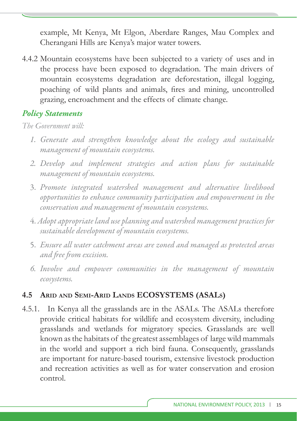example, Mt Kenya, Mt Elgon, Aberdare Ranges, Mau Complex and Cherangani Hills are Kenya's major water towers.

4.4.2 Mountain ecosystems have been subjected to a variety of uses and in the process have been exposed to degradation. The main drivers of mountain ecosystems degradation are deforestation, illegal logging, poaching of wild plants and animals, fires and mining, uncontrolled grazing, encroachment and the effects of climate change.

#### *Policy Statements*

*The Government will:*

- *1. Generate and strengthen knowledge about the ecology and sustainable management of mountain ecosystems.*
- *2. Develop and implement strategies and action plans for sustainable management of mountain ecosystems.*
- 3. *Promote integrated watershed management and alternative livelihood opportunities to enhance community participation and empowerment in the conservation and management of mountain ecosystems.*
- 4. *Adopt appropriate land use planning and watershed management practices for sustainable development of mountain ecosystems.*
- 5. *Ensure all water catchment areas are zoned and managed as protected areas and free from excision.*
- *6. Involve and empower communities in the management of mountain ecosystems.*

#### **4.5 ARID AND SEMI-ARID LANDS ECOSYSTEMS (ASALS)**

4.5.1. In Kenya all the grasslands are in the ASALs. The ASALs therefore provide critical habitats for wildlife and ecosystem diversity, including grasslands and wetlands for migratory species. Grasslands are well known as the habitats of the greatest assemblages of large wild mammals in the world and support a rich bird fauna. Consequently, grasslands are important for nature-based tourism, extensive livestock production and recreation activities as well as for water conservation and erosion control.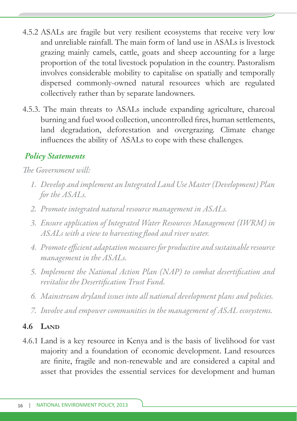- 4.5.2 ASALs are fragile but very resilient ecosystems that receive very low and unreliable rainfall. The main form of land use in ASALs is livestock grazing mainly camels, cattle, goats and sheep accounting for a large proportion of the total livestock population in the country. Pastoralism involves considerable mobility to capitalise on spatially and temporally dispersed commonly-owned natural resources which are regulated collectively rather than by separate landowners.
- 4.5.3. The main threats to ASALs include expanding agriculture, charcoal burning and fuel wood collection, uncontrolled fires, human settlements, land degradation, deforestation and overgrazing. Climate change influences the ability of ASALs to cope with these challenges.

*The Government will:* 

- *1. Develop and implement an Integrated Land Use Master (Development) Plan for the ASALs.*
- *2. Promote integrated natural resource management in ASALs.*
- *3. Ensure application of Integrated Water Resources Management (IWRM) in*  ASALs with a view to harvesting flood and river water.
- *4. Promote effi cient adaptation measures for productive and sustainable resource management in the ASALs.*
- 5. Implement the National Action Plan (NAP) to combat desertification and revitalise the Desertification Trust Fund.
- *6. Mainstream dryland issues into all national development plans and policies.*
- *7. Involve and empower communities in the management of ASAL ecosystems.*

## **4.6 LAND**

4.6.1 Land is a key resource in Kenya and is the basis of livelihood for vast majority and a foundation of economic development. Land resources are finite, fragile and non-renewable and are considered a capital and asset that provides the essential services for development and human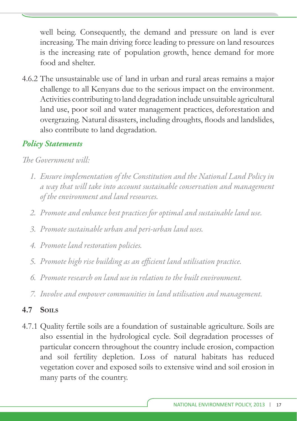well being. Consequently, the demand and pressure on land is ever increasing. The main driving force leading to pressure on land resources is the increasing rate of population growth, hence demand for more food and shelter.

4.6.2 The unsustainable use of land in urban and rural areas remains a major challenge to all Kenyans due to the serious impact on the environment. Activities contributing to land degradation include unsuitable agricultural land use, poor soil and water management practices, deforestation and overgrazing. Natural disasters, including droughts, floods and landslides, also contribute to land degradation.

## *Policy Statements*

#### *The Government will:*

- *1. Ensure implementation of the Constitution and the National Land Policy in a way that will take into account sustainable conservation and management of the environment and land resources.*
- *2. Promote and enhance best practices for optimal and sustainable land use.*
- *3. Promote sustainable urban and peri-urban land uses.*
- *4. Promote land restoration policies.*
- *5. Promote high rise building as an effi cient land utilisation practice.*
- *6. Promote research on land use in relation to the built environment.*
- *7. Involve and empower communities in land utilisation and management.*

#### **4.7 SOILS**

4.7.1 Quality fertile soils are a foundation of sustainable agriculture. Soils are also essential in the hydrological cycle. Soil degradation processes of particular concern throughout the country include erosion, compaction and soil fertility depletion. Loss of natural habitats has reduced vegetation cover and exposed soils to extensive wind and soil erosion in many parts of the country.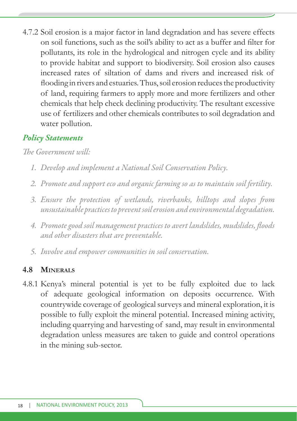4.7.2 Soil erosion is a major factor in land degradation and has severe effects on soil functions, such as the soil's ability to act as a buffer and filter for pollutants, its role in the hydrological and nitrogen cycle and its ability to provide habitat and support to biodiversity. Soil erosion also causes increased rates of siltation of dams and rivers and increased risk of flooding in rivers and estuaries. Thus, soil erosion reduces the productivity of land, requiring farmers to apply more and more fertilizers and other chemicals that help check declining productivity. The resultant excessive use of fertilizers and other chemicals contributes to soil degradation and water pollution.

## *Policy Statements*

*The Government will:* 

- *1. Develop and implement a National Soil Conservation Policy.*
- *2. Promote and support eco and organic farming so as to maintain soil fertility.*
- 3. Ensure the protection of wetlands, riverbanks, hilltops and slopes from *unsustainable practices to prevent soil erosion and environmental degradation.*
- *4. Promote good soil management practices to avert landslides, mudslides, fl oods and other disasters that are preventable.*
- *5. Involve and empower communities in soil conservation.*

#### **4.8 MINERALS**

4.8.1 Kenya's mineral potential is yet to be fully exploited due to lack of adequate geological information on deposits occurrence. With countrywide coverage of geological surveys and mineral exploration, it is possible to fully exploit the mineral potential. Increased mining activity, including quarrying and harvesting of sand, may result in environmental degradation unless measures are taken to guide and control operations in the mining sub-sector.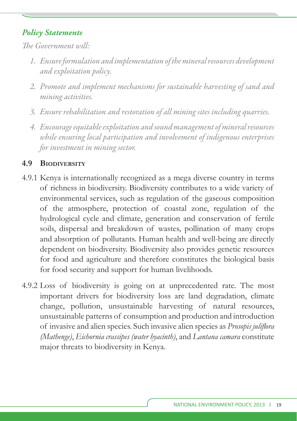*The Government will*.

- *1. Ensure formulation and implementation of the mineral resources development and exploitation policy.*
- *2. Promote and implement mechanisms for sustainable harvesting of sand and mining activities.*
- *3. Ensure rehabilitation and restoration of all mining sites including quarries.*
- *4. Encourage equitable exploitation and sound management of mineral resources while ensuring local participation and involvement of indigenous enterprises for investment in mining sector.*

## **4.9 BIODIVERSITY**

- 4.9.1 Kenya is internationally recognized as a mega diverse country in terms of richness in biodiversity. Biodiversity contributes to a wide variety of environmental services, such as regulation of the gaseous composition of the atmosphere, protection of coastal zone, regulation of the hydrological cycle and climate, generation and conservation of fertile soils, dispersal and breakdown of wastes, pollination of many crops and absorption of pollutants. Human health and well-being are directly dependent on biodiversity. Biodiversity also provides genetic resources for food and agriculture and therefore constitutes the biological basis for food security and support for human livelihoods.
- 4.9.2 Loss of biodiversity is going on at unprecedented rate. The most important drivers for biodiversity loss are land degradation, climate change, pollution, unsustainable harvesting of natural resources, unsustainable patterns of consumption and production and introduction of invasive and alien species. Such invasive alien species as *Prosopis juliflora (Mathenge)*, *Eichornia crassipes (water hyacinth)*, and *Lantana camara* constitute major threats to biodiversity in Kenya.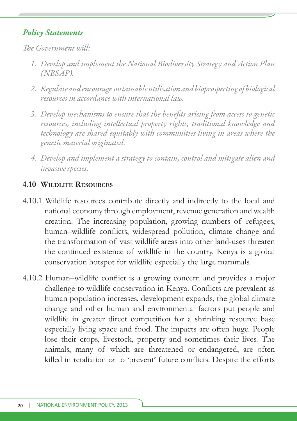*The Government will* 

- *1. Develop and implement the National Biodiversity Strategy and Action Plan (NBSAP).*
- *2. Regulate and encourage sustainable utilisation and bioprospecting of biological resources in accordance with international law.*
- 3. Develop mechanisms to ensure that the benefits arising from access to genetic *resources, including intellectual property rights, traditional knowledge and technology are shared equitably with communities living in areas where the genetic material originated.*
- *4. Develop and implement a strategy to contain, control and mitigate alien and invasive species.*

#### **4.10 WILDLIFE RESOURCES**

- 4.10.1 Wildlife resources contribute directly and indirectly to the local and national economy through employment, revenue generation and wealth creation. The increasing population, growing numbers of refugees, human–wildlife conflicts, widespread pollution, climate change and the transformation of vast wildlife areas into other land-uses threaten the continued existence of wildlife in the country. Kenya is a global conservation hotspot for wildlife especially the large mammals.
- 4.10.2 Human–wildlife conflict is a growing concern and provides a major challenge to wildlife conservation in Kenya. Conflicts are prevalent as human population increases, development expands, the global climate change and other human and environmental factors put people and wildlife in greater direct competition for a shrinking resource base especially living space and food. The impacts are often huge. People lose their crops, livestock, property and sometimes their lives. The animals, many of which are threatened or endangered, are often killed in retaliation or to 'prevent' future conflicts. Despite the efforts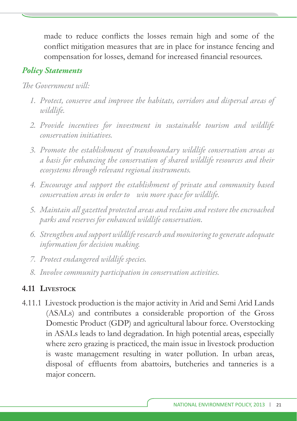made to reduce conflicts the losses remain high and some of the conflict mitigation measures that are in place for instance fencing and compensation for losses, demand for increased financial resources.

#### *Policy Statements*

*The Government will:* 

- *1. Protect, conserve and improve the habitats, corridors and dispersal areas of wildlife.*
- *2. Provide incentives for investment in sustainable tourism and wildlife conservation initiatives.*
- *3. Promote the establishment of transboundary wildlife conservation areas as a basis for enhancing the conservation of shared wildlife resources and their ecosystems through relevant regional instruments.*
- *4. Encourage and support the establishment of private and community based conservation areas in order to win more space for wildlife.*
- *5. Maintain all gazetted protected areas and reclaim and restore the encroached parks and reserves for enhanced wildlife conservation.*
- *6. Strengthen and support wildlife research and monitoring to generate adequate information for decision making.*
- *7. Protect endangered wildlife species.*
- *8. Involve community participation in conservation activities.*

#### **4.11 LIVESTOCK**

4.11.1 Livestock production is the major activity in Arid and Semi Arid Lands (ASALs) and contributes a considerable proportion of the Gross Domestic Product (GDP) and agricultural labour force. Overstocking in ASALs leads to land degradation. In high potential areas, especially where zero grazing is practiced, the main issue in livestock production is waste management resulting in water pollution. In urban areas, disposal of effluents from abattoirs, butcheries and tanneries is a major concern.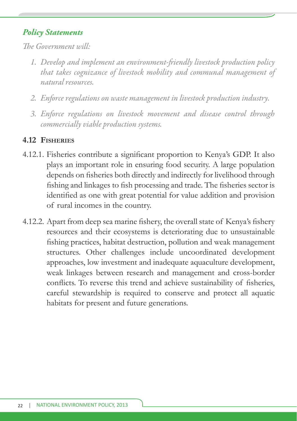*The Government will:* 

- 1. Develop and implement an environment-friendly livestock production policy *that takes cognizance of livestock mobility and communal management of natural resources.*
- *2. Enforce regulations on waste management in livestock production industry.*
- *3. Enforce regulations on livestock movement and disease control through commercially viable production systems.*

#### **4.12 FISHERIES**

- 4.12.1. Fisheries contribute a significant proportion to Kenya's GDP. It also plays an important role in ensuring food security. A large population depends on fisheries both directly and indirectly for livelihood through fishing and linkages to fish processing and trade. The fisheries sector is identified as one with great potential for value addition and provision of rural incomes in the country.
- 4.12.2. Apart from deep sea marine fishery, the overall state of Kenya's fishery resources and their ecosystems is deteriorating due to unsustainable fishing practices, habitat destruction, pollution and weak management structures. Other challenges include uncoordinated development approaches, low investment and inadequate aquaculture development, weak linkages between research and management and cross-border conflicts. To reverse this trend and achieve sustainability of fisheries, careful stewardship is required to conserve and protect all aquatic habitats for present and future generations.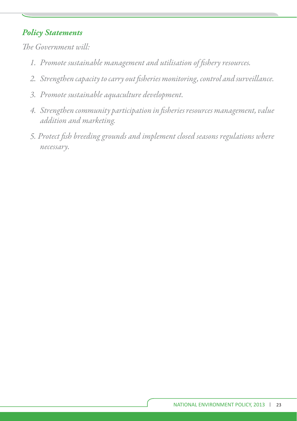- 1. Promote sustainable management and utilisation of fishery resources.
- *2. Strengthen capacity to carry out fi sheries monitoring, control and surveillance.*
- *3. Promote sustainable aquaculture development.*
- *4. Strengthen community participation in fi sheries resources management, value addition and marketing.*
- *5. Protect fi sh breeding grounds and implement closed seasons regulations where necessary.*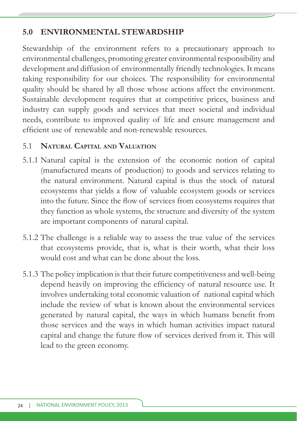## **5.0 ENVIRONMENTAL STEWARDSHIP**

Stewardship of the environment refers to a precautionary approach to environmental challenges, promoting greater environmental responsibility and development and diffusion of environmentally friendly technologies. It means taking responsibility for our choices. The responsibility for environmental quality should be shared by all those whose actions affect the environment. Sustainable development requires that at competitive prices, business and industry can supply goods and services that meet societal and individual needs, contribute to improved quality of life and ensure management and efficient use of renewable and non-renewable resources.

#### 5.1 **NATURAL CAPITAL AND VALUATION**

- 5.1.1 Natural capital is the extension of the economic notion of capital (manufactured means of production) to goods and services relating to the natural environment. Natural capital is thus the stock of natural ecosystems that yields a flow of valuable ecosystem goods or services into the future. Since the flow of services from ecosystems requires that they function as whole systems, the structure and diversity of the system are important components of natural capital.
- 5.1.2 The challenge is a reliable way to assess the true value of the services that ecosystems provide, that is, what is their worth, what their loss would cost and what can be done about the loss.
- 5.1.3 The policy implication is that their future competitiveness and well-being depend heavily on improving the efficiency of natural resource use. It involves undertaking total economic valuation of national capital which include the review of what is known about the environmental services generated by natural capital, the ways in which humans benefit from those services and the ways in which human activities impact natural capital and change the future flow of services derived from it. This will lead to the green economy.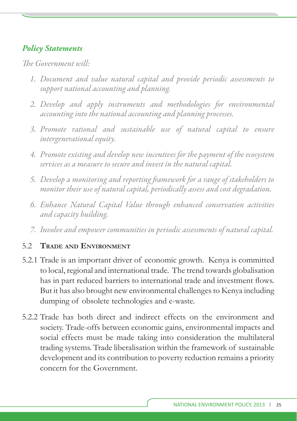*The Government will:* 

- *1. Document and value natural capital and provide periodic assessments to support national accounting and planning.*
- *2. Develop and apply instruments and methodologies for environmental accounting into the national accounting and planning processes.*
- *3. Promote rational and sustainable use of natural capital to ensure intergenerational equity.*
- *4. Promote existing and develop new incentives for the payment of the ecosystem services as a measure to secure and invest in the natural capital.*
- 5. Develop a monitoring and reporting framework for a range of stakeholders to *monitor their use of natural capital, periodically assess and cost degradation.*
- *6. Enhance Natural Capital Value through enhanced conservation activities and capacity building.*
- *7. Involve and empower communities in periodic assessments of natural capital.*

#### 5.2 **TRADE AND ENVIRONMENT**

- 5.2.1 Trade is an important driver of economic growth. Kenya is committed to local, regional and international trade. The trend towards globalisation has in part reduced barriers to international trade and investment flows. But it has also brought new environmental challenges to Kenya including dumping of obsolete technologies and e-waste.
- 5.2.2 Trade has both direct and indirect effects on the environment and society. Trade-offs between economic gains, environmental impacts and social effects must be made taking into consideration the multilateral trading systems. Trade liberalisation within the framework of sustainable development and its contribution to poverty reduction remains a priority concern for the Government.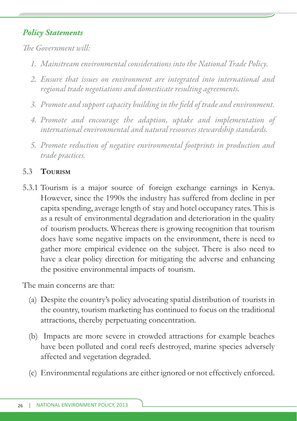*The Government will* 

- *1. Mainstream environmental considerations into the National Trade Policy.*
- *2. Ensure that issues on environment are integrated into international and regional trade negotiations and domesticate resulting agreements.*
- 3. Promote and support capacity building in the field of trade and environment.
- *4. Promote and encourage the adaption, uptake and implementation of international environmental and natural resources stewardship standards.*
- *5. Promote reduction of negative environmental footprints in production and trade practices.*

## 5.3 **TOURISM**

5.3.1 Tourism is a major source of foreign exchange earnings in Kenya. However, since the 1990s the industry has suffered from decline in per capita spending, average length of stay and hotel occupancy rates. This is as a result of environmental degradation and deterioration in the quality of tourism products. Whereas there is growing recognition that tourism does have some negative impacts on the environment, there is need to gather more empirical evidence on the subject. There is also need to have a clear policy direction for mitigating the adverse and enhancing the positive environmental impacts of tourism.

The main concerns are that:

- (a) Despite the country's policy advocating spatial distribution of tourists in the country, tourism marketing has continued to focus on the traditional attractions, thereby perpetuating concentration.
- (b) Impacts are more severe in crowded attractions for example beaches have been polluted and coral reefs destroyed, marine species adversely affected and vegetation degraded.
- (c) Environmental regulations are either ignored or not effectively enforced.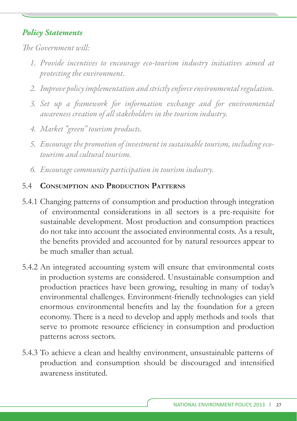*The Government will*.

- *1. Provide incentives to encourage eco-tourism industry initiatives aimed at protecting the environment.*
- *2. Improve policy implementation and strictly enforce environmental regulation.*
- 3. Set up a framework for information exchange and for environmental *awareness creation of all stakeholders in the tourism industry.*
- *4. Market "green" tourism products.*
- *5. Encourage the promotion of investment in sustainable tourism, including ecotourism and cultural tourism.*
- *6. Encourage community participation in tourism industry.*

#### 5.4 **CONSUMPTION AND PRODUCTION PATTERNS**

- 5.4.1 Changing patterns of consumption and production through integration of environmental considerations in all sectors is a pre-requisite for sustainable development. Most production and consumption practices do not take into account the associated environmental costs. As a result, the benefits provided and accounted for by natural resources appear to be much smaller than actual.
- 5.4.2 An integrated accounting system will ensure that environmental costs in production systems are considered. Unsustainable consumption and production practices have been growing, resulting in many of today's environmental challenges. Environment-friendly technologies can yield enormous environmental benefits and lay the foundation for a green economy. There is a need to develop and apply methods and tools that serve to promote resource efficiency in consumption and production patterns across sectors.
- 5.4.3 To achieve a clean and healthy environment, unsustainable patterns of production and consumption should be discouraged and intensified awareness instituted.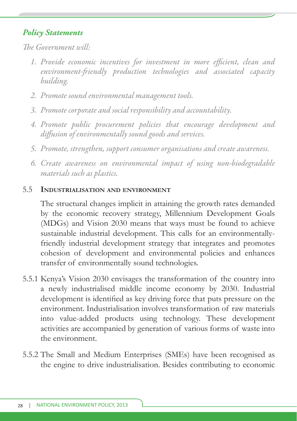*The Government will* 

- 1. Provide economic incentives for investment in more efficient, clean and environment-friendly production technologies and associated capacity *building.*
- *2. Promote sound environmental management tools.*
- *3. Promote corporate and social responsibility and accountability.*
- *4. Promote public procurement policies that encourage development and diff usion of environmentally sound goods and services.*
- *5. Promote, strengthen, support consumer organisations and create awareness.*
- *6. Create awareness on environmental impact of using non-biodegradable materials such as plastics.*

#### 5.5 **INDUSTRIALISATION AND ENVIRONMENT**

 The structural changes implicit in attaining the growth rates demanded by the economic recovery strategy, Millennium Development Goals (MDGs) and Vision 2030 means that ways must be found to achieve sustainable industrial development. This calls for an environmentallyfriendly industrial development strategy that integrates and promotes cohesion of development and environmental policies and enhances transfer of environmentally sound technologies.

- 5.5.1 Kenya's Vision 2030 envisages the transformation of the country into a newly industrialised middle income economy by 2030. Industrial development is identified as key driving force that puts pressure on the environment. Industrialisation involves transformation of raw materials into value-added products using technology. These development activities are accompanied by generation of various forms of waste into the environment.
- 5.5.2 The Small and Medium Enterprises (SMEs) have been recognised as the engine to drive industrialisation. Besides contributing to economic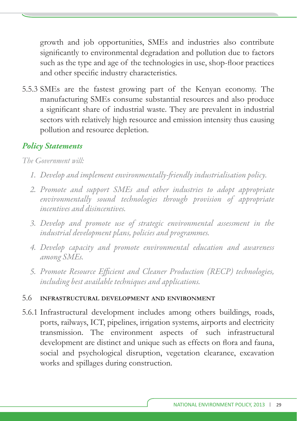growth and job opportunities, SMEs and industries also contribute significantly to environmental degradation and pollution due to factors such as the type and age of the technologies in use, shop-floor practices and other specific industry characteristics.

5.5.3 SMEs are the fastest growing part of the Kenyan economy. The manufacturing SMEs consume substantial resources and also produce a significant share of industrial waste. They are prevalent in industrial sectors with relatively high resource and emission intensity thus causing pollution and resource depletion.

## *Policy Statements*

*The Government will:*

- *1. Develop and implement environmentally-fr iendly industrialisation policy.*
- *2. Promote and support SMEs and other industries to adopt appropriate environmentally sound technologies through provision of appropriate incentives and disincentives.*
- *3. Develop and promote use of strategic environmental assessment in the industrial development plans, policies and programmes.*
- *4. Develop capacity and promote environmental education and awareness among SMEs.*
- 5. Promote Resource Efficient and Cleaner Production (RECP) technologies, *including best available techniques and applications.*

#### 5.6 **INFRASTRUCTURAL DEVELOPMENT AND ENVIRONMENT**

5.6.1 Infrastructural development includes among others buildings, roads, ports, railways, ICT, pipelines, irrigation systems, airports and electricity transmission. The environment aspects of such infrastructural development are distinct and unique such as effects on flora and fauna, social and psychological disruption, vegetation clearance, excavation works and spillages during construction.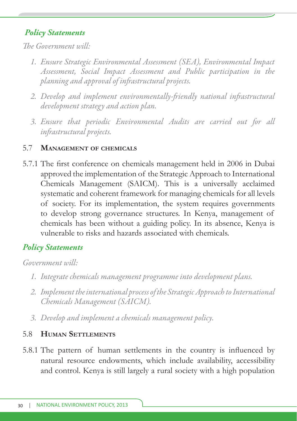*The Government will* 

- *1. Ensure Strategic Environmental Assessment (SEA), Environmental Impact Assessment, Social Impact Assessment and Public participation in the planning and approval of infrastructural projects.*
- 2. Develop and implement environmentally-friendly national infrastructural *development strategy and action plan.*
- *3. Ensure that periodic Environmental Audits are carried out for all infr astructural projects.*

#### 5.7 **MANAGEMENT OF CHEMICALS**

5.7.1 The first conference on chemicals management held in 2006 in Dubai approved the implementation of the Strategic Approach to International Chemicals Management (SAICM). This is a universally acclaimed systematic and coherent framework for managing chemicals for all levels of society. For its implementation, the system requires governments to develop strong governance structures. In Kenya, management of chemicals has been without a guiding policy. In its absence, Kenya is vulnerable to risks and hazards associated with chemicals.

## *Policy Statements*

*Government will:*

- *1. Integrate chemicals management programme into development plans.*
- *2. Implement the international process of the Strategic Approach to International Chemicals Management (SAICM).*
- *3. Develop and implement a chemicals management policy.*

#### 5.8 **HUMAN SETTLEMENTS**

5.8.1 The pattern of human settlements in the country is influenced by natural resource endowments, which include availability, accessibility and control. Kenya is still largely a rural society with a high population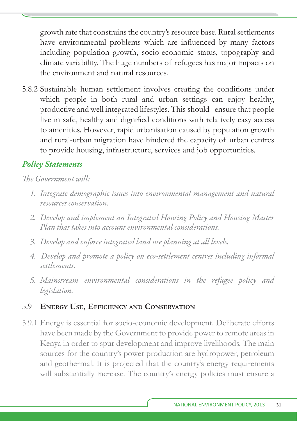growth rate that constrains the country's resource base. Rural settlements have environmental problems which are influenced by many factors including population growth, socio-economic status, topography and climate variability. The huge numbers of refugees has major impacts on the environment and natural resources.

5.8.2 Sustainable human settlement involves creating the conditions under which people in both rural and urban settings can enjoy healthy, productive and well integrated lifestyles. This should ensure that people live in safe, healthy and dignified conditions with relatively easy access to amenities. However, rapid urbanisation caused by population growth and rural-urban migration have hindered the capacity of urban centres to provide housing, infrastructure, services and job opportunities.

## *Policy Statements*

#### *The Government will:*

- *1. Integrate demographic issues into environmental management and natural resources conservation.*
- *2. Develop and implement an Integrated Housing Policy and Housing Master Plan that takes into account environmental considerations.*
- *3. Develop and enforce integrated land use planning at all levels.*
- *4. Develop and promote a policy on eco-settlement centres including informal settlements.*
- *5. Mainstream environmental considerations in the refugee policy and legislation.*

#### 5.9 **ENERGY USE, EFFICIENCY AND CONSERVATION**

5.9.1 Energy is essential for socio-economic development. Deliberate efforts have been made by the Government to provide power to remote areas in Kenya in order to spur development and improve livelihoods. The main sources for the country's power production are hydropower, petroleum and geothermal. It is projected that the country's energy requirements will substantially increase. The country's energy policies must ensure a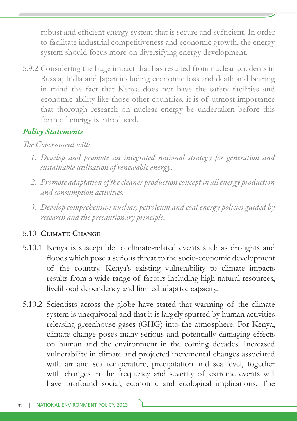robust and efficient energy system that is secure and sufficient. In order to facilitate industrial competitiveness and economic growth, the energy system should focus more on diversifying energy development.

5.9.2 Considering the huge impact that has resulted from nuclear accidents in Russia, India and Japan including economic loss and death and bearing in mind the fact that Kenya does not have the safety facilities and economic ability like those other countries, it is of utmost importance that thorough research on nuclear energy be undertaken before this form of energy is introduced.

## *Policy Statements*

## *The Government will:*

- *1. Develop and promote an integrated national strategy for generation and sustainable utilisation of renewable energy.*
- *2. Promote adaptation of the cleaner production concept in all energy production and consumption activities.*
- *3. Develop comprehensive nuclear, petroleum and coal energy policies guided by research and the precautionary principle.*

## 5.10 **CLIMATE CHANGE**

- 5.10.1 Kenya is susceptible to climate-related events such as droughts and floods which pose a serious threat to the socio-economic development of the country. Kenya's existing vulnerability to climate impacts results from a wide range of factors including high natural resources, livelihood dependency and limited adaptive capacity.
- 5.10.2 Scientists across the globe have stated that warming of the climate system is unequivocal and that it is largely spurred by human activities releasing greenhouse gases (GHG) into the atmosphere. For Kenya, climate change poses many serious and potentially damaging effects on human and the environment in the coming decades. Increased vulnerability in climate and projected incremental changes associated with air and sea temperature, precipitation and sea level, together with changes in the frequency and severity of extreme events will have profound social, economic and ecological implications. The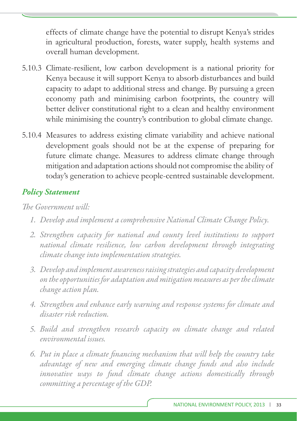effects of climate change have the potential to disrupt Kenya's strides in agricultural production, forests, water supply, health systems and overall human development.

- 5.10.3 Climate-resilient, low carbon development is a national priority for Kenya because it will support Kenya to absorb disturbances and build capacity to adapt to additional stress and change. By pursuing a green economy path and minimising carbon footprints, the country will better deliver constitutional right to a clean and healthy environment while minimising the country's contribution to global climate change.
- 5.10.4 Measures to address existing climate variability and achieve national development goals should not be at the expense of preparing for future climate change. Measures to address climate change through mitigation and adaptation actions should not compromise the ability of today's generation to achieve people-centred sustainable development.

## *Policy Statement*

- *1. Develop and implement a comprehensive National Climate Change Policy.*
- *2. Strengthen capacity for national and county level institutions to support national climate resilience, low carbon development through integrating climate change into implementation strategies.*
- *3. Develop and implement awareness raising strategies and capacity development on the opportunities for adaptation and mitigation measures as per the climate change action plan.*
- *4. Strengthen and enhance early warning and response systems for climate and disaster risk reduction.*
- *5. Build and strengthen research capacity on climate change and related environmental issues.*
- *6. Put in place a climate fi nancing mechanism that will help the country take advantage of new and emerging climate change funds and also include innovative ways to fund climate change actions domestically through committing a percentage of the GDP.*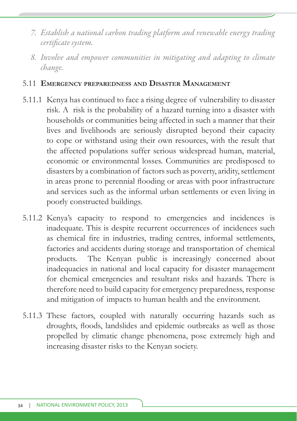- *7. Establish a national carbon trading platform and renewable energy trading certifi cate system.*
- *8. Involve and empower communities in mitigating and adapting to climate change.*

#### 5.11 **EMERGENCY PREPAREDNESS AND DISASTER MANAGEMENT**

- 5.11.1 Kenya has continued to face a rising degree of vulnerability to disaster risk. A risk is the probability of a hazard turning into a disaster with households or communities being affected in such a manner that their lives and livelihoods are seriously disrupted beyond their capacity to cope or withstand using their own resources, with the result that the affected populations suffer serious widespread human, material, economic or environmental losses. Communities are predisposed to disasters by a combination of factors such as poverty, aridity, settlement in areas prone to perennial flooding or areas with poor infrastructure and services such as the informal urban settlements or even living in poorly constructed buildings.
- 5.11.2 Kenya's capacity to respond to emergencies and incidences is inadequate. This is despite recurrent occurrences of incidences such as chemical fire in industries, trading centres, informal settlements, factories and accidents during storage and transportation of chemical products. The Kenyan public is increasingly concerned about inadequacies in national and local capacity for disaster management for chemical emergencies and resultant risks and hazards. There is therefore need to build capacity for emergency preparedness, response and mitigation of impacts to human health and the environment.
- 5.11.3 These factors, coupled with naturally occurring hazards such as droughts, floods, landslides and epidemic outbreaks as well as those propelled by climatic change phenomena, pose extremely high and increasing disaster risks to the Kenyan society.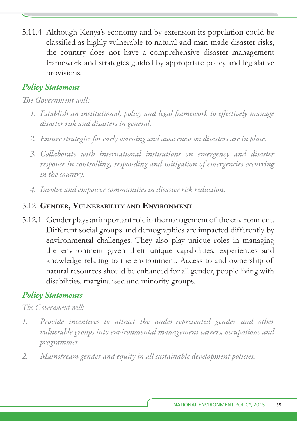5.11.4 Although Kenya's economy and by extension its population could be classified as highly vulnerable to natural and man-made disaster risks, the country does not have a comprehensive disaster management framework and strategies guided by appropriate policy and legislative provisions.

## *Policy Statement*

## *The Government will:*

- 1. Establish an institutional, policy and legal framework to effectively manage *disaster risk and disasters in general.*
- *2. Ensure strategies for early warning and awareness on disasters are in place.*
- *3. Collaborate with international institutions on emergency and disaster response in controlling, responding and mitigation of emergencies occurring in the country.*
- *4. Involve and empower communities in disaster risk reduction.*

#### 5.12 **GENDER, VULNERABILITY AND ENVIRONMENT**

5.12.1 Gender plays an important role in the management of the environment. Different social groups and demographics are impacted differently by environmental challenges. They also play unique roles in managing the environment given their unique capabilities, experiences and knowledge relating to the environment. Access to and ownership of natural resources should be enhanced for all gender, people living with disabilities, marginalised and minority groups.

## *Policy Statements*

- *1. Provide incentives to attract the under-represented gender and other vulnerable groups into environmental management careers, occupations and programmes.*
- *2. Mainstream gender and equity in all sustainable development policies.*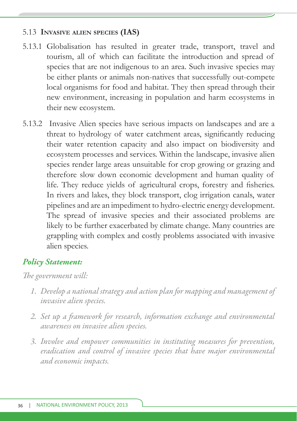#### 5.13 **INVASIVE ALIEN SPECIES (IAS)**

- 5.13.1 Globalisation has resulted in greater trade, transport, travel and tourism, all of which can facilitate the introduction and spread of species that are not indigenous to an area. Such invasive species may be either plants or animals non-natives that successfully out-compete local organisms for food and habitat. They then spread through their new environment, increasing in population and harm ecosystems in their new ecosystem.
- 5.13.2 Invasive Alien species have serious impacts on landscapes and are a threat to hydrology of water catchment areas, significantly reducing their water retention capacity and also impact on biodiversity and ecosystem processes and services. Within the landscape, invasive alien species render large areas unsuitable for crop growing or grazing and therefore slow down economic development and human quality of life. They reduce yields of agricultural crops, forestry and fisheries. In rivers and lakes, they block transport, clog irrigation canals, water pipelines and are an impediment to hydro-electric energy development. The spread of invasive species and their associated problems are likely to be further exacerbated by climate change. Many countries are grappling with complex and costly problems associated with invasive alien species.

#### *Policy Statement:*

- *1. Develop a national strategy and action plan for mapping and management of invasive alien species.*
- 2. Set up a framework for research, information exchange and environmental *awareness on invasive alien species.*
- *3. Involve and empower communities in instituting measures for prevention, eradication and control of invasive species that have major environmental and economic impacts.*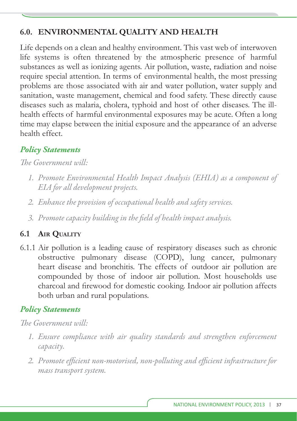## **6.0. ENVIRONMENTAL QUALITY AND HEALTH**

Life depends on a clean and healthy environment. This vast web of interwoven life systems is often threatened by the atmospheric presence of harmful substances as well as ionizing agents. Air pollution, waste, radiation and noise require special attention. In terms of environmental health, the most pressing problems are those associated with air and water pollution, water supply and sanitation, waste management, chemical and food safety. These directly cause diseases such as malaria, cholera, typhoid and host of other diseases. The illhealth effects of harmful environmental exposures may be acute. Often a long time may elapse between the initial exposure and the appearance of an adverse health effect.

## *Policy Statements*

The Government will:

- *1. Promote Environmental Health Impact Analysis (EHIA) as a component of EIA for all development projects.*
- *2. Enhance the provision of occupational health and safety services.*
- *3. Promote capacity building in the fi eld of health impact analysis.*

## **6.1 AIR QUALITY**

6.1.1 Air pollution is a leading cause of respiratory diseases such as chronic obstructive pulmonary disease (COPD), lung cancer, pulmonary heart disease and bronchitis. The effects of outdoor air pollution are compounded by those of indoor air pollution. Most households use charcoal and firewood for domestic cooking. Indoor air pollution affects both urban and rural populations.

## *Policy Statements*

- *1. Ensure compliance with air quality standards and strengthen enforcement capacity.*
- 2. Promote efficient non-motorised, non-polluting and efficient infrastructure for *mass transport system.*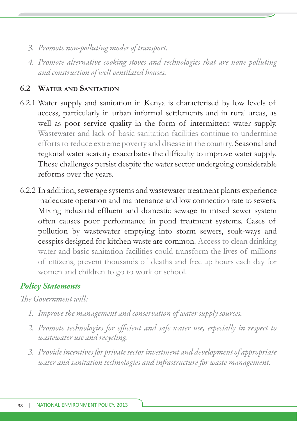- *3. Promote non-polluting modes of transport.*
- *4. Promote alternative cooking stoves and technologies that are none polluting and construction of well ventilated houses.*

## **6.2 WATER AND SANITATION**

- 6.2.1 Water supply and sanitation in Kenya is characterised by low levels of access, particularly in urban informal settlements and in rural areas, as well as poor service quality in the form of intermittent water supply. Wastewater and lack of basic sanitation facilities continue to undermine efforts to reduce extreme poverty and disease in the country. Seasonal and regional water scarcity exacerbates the difficulty to improve water supply. These challenges persist despite the water sector undergoing considerable reforms over the years.
- 6.2.2 In addition, sewerage systems and wastewater treatment plants experience inadequate operation and maintenance and low connection rate to sewers. Mixing industrial effluent and domestic sewage in mixed sewer system often causes poor performance in pond treatment systems. Cases of pollution by wastewater emptying into storm sewers, soak-ways and cesspits designed for kitchen waste are common. Access to clean drinking water and basic sanitation facilities could transform the lives of millions of citizens, prevent thousands of deaths and free up hours each day for women and children to go to work or school.

## *Policy Statements*

- *1. Improve the management and conservation of water supply sources.*
- 2. Promote technologies for efficient and safe water use, especially in respect to *wastewater use and recycling.*
- *3. Provide incentives for private sector investment and development of appropriate water and sanitation technologies and infrastructure for waste management.*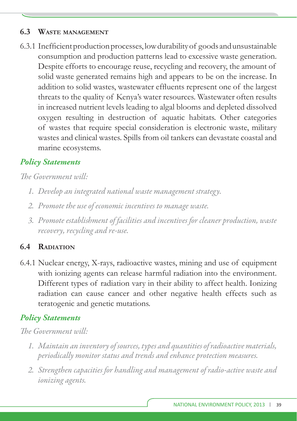#### **6.3 WASTE MANAGEMENT**

6.3.1 Inefficient production processes, low durability of goods and unsustainable consumption and production patterns lead to excessive waste generation. Despite efforts to encourage reuse, recycling and recovery, the amount of solid waste generated remains high and appears to be on the increase. In addition to solid wastes, wastewater effluents represent one of the largest threats to the quality of Kenya's water resources. Wastewater often results in increased nutrient levels leading to algal blooms and depleted dissolved oxygen resulting in destruction of aquatic habitats. Other categories of wastes that require special consideration is electronic waste, military wastes and clinical wastes. Spills from oil tankers can devastate coastal and marine ecosystems.

## *Policy Statements*

*The Government will:* 

- *1. Develop an integrated national waste management strategy.*
- *2. Promote the use of economic incentives to manage waste.*
- *3. Promote establishment of facilities and incentives for cleaner production, waste recovery, recycling and re-use.*

## **6.4 RADIATION**

6.4.1 Nuclear energy, X-rays, radioactive wastes, mining and use of equipment with ionizing agents can release harmful radiation into the environment. Different types of radiation vary in their ability to affect health. Ionizing radiation can cause cancer and other negative health effects such as teratogenic and genetic mutations.

## *Policy Statements*

- *1. Maintain an inventory of sources, types and quantities of radioactive materials, periodically monitor status and trends and enhance protection measures.*
- *2. Strengthen capacities for handling and management of radio-active waste and ionizing agents.*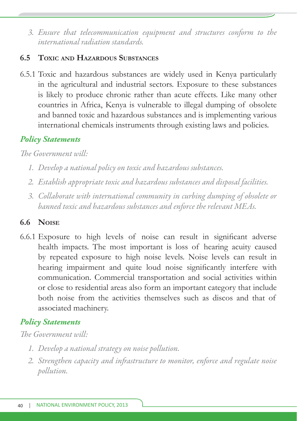*3. Ensure that telecommunication equipment and structures conform to the international radiation standards.*

## **6.5 TOXIC AND HAZARDOUS SUBSTANCES**

6.5.1 Toxic and hazardous substances are widely used in Kenya particularly in the agricultural and industrial sectors. Exposure to these substances is likely to produce chronic rather than acute effects. Like many other countries in Africa, Kenya is vulnerable to illegal dumping of obsolete and banned toxic and hazardous substances and is implementing various international chemicals instruments through existing laws and policies.

## *Policy Statements*

*The Government will*.

- *1. Develop a national policy on toxic and hazardous substances.*
- *2. Establish appropriate toxic and hazardous substances and disposal facilities.*
- *3. Collaborate with international community in curbing dumping of obsolete or banned toxic and hazardous substances and enforce the relevant MEAs.*

## **6.6 NOISE**

6.6.1 Exposure to high levels of noise can result in significant adverse health impacts. The most important is loss of hearing acuity caused by repeated exposure to high noise levels. Noise levels can result in hearing impairment and quite loud noise significantly interfere with communication. Commercial transportation and social activities within or close to residential areas also form an important category that include both noise from the activities themselves such as discos and that of associated machinery.

## *Policy Statements*

- *1. Develop a national strategy on noise pollution.*
- 2. Strengthen capacity and infrastructure to monitor, enforce and regulate noise *pollution.*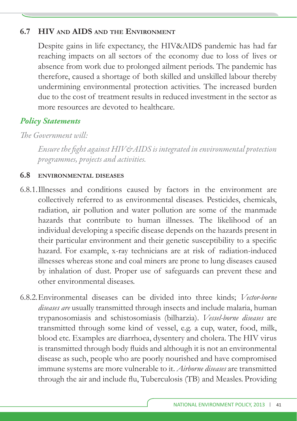#### **6.7 HIV AND AIDS AND THE ENVIRONMENT**

 Despite gains in life expectancy, the HIV&AIDS pandemic has had far reaching impacts on all sectors of the economy due to loss of lives or absence from work due to prolonged ailment periods. The pandemic has therefore, caused a shortage of both skilled and unskilled labour thereby undermining environmental protection activities. The increased burden due to the cost of treatment results in reduced investment in the sector as more resources are devoted to healthcare.

## *Policy Statements*

*The Government will*.

*Ensure the fi ght against HIV&AIDS is integrated in environmental protection programmes, projects and activities.*

#### **6.8 ENVIRONMENTAL DISEASES**

- 6.8.1. Illnesses and conditions caused by factors in the environment are collectively referred to as environmental diseases. Pesticides, chemicals, radiation, air pollution and water pollution are some of the manmade hazards that contribute to human illnesses. The likelihood of an individual developing a specific disease depends on the hazards present in their particular environment and their genetic susceptibility to a specific hazard. For example, x-ray technicians are at risk of radiation-induced illnesses whereas stone and coal miners are prone to lung diseases caused by inhalation of dust. Proper use of safeguards can prevent these and other environmental diseases.
- 6.8.2. Environmental diseases can be divided into three kinds; *Vector-borne diseases are* usually transmitted through insects and include malaria, human trypanosomiasis and schistosomiasis (bilharzia). *Vessel-borne diseases* are transmitted through some kind of vessel, e.g. a cup, water, food, milk, blood etc. Examples are diarrhoea, dysentery and cholera. The HIV virus is transmitted through body fluids and although it is not an environmental disease as such, people who are poorly nourished and have compromised immune systems are more vulnerable to it. *Airborne diseases* are transmitted through the air and include flu, Tuberculosis (TB) and Measles. Providing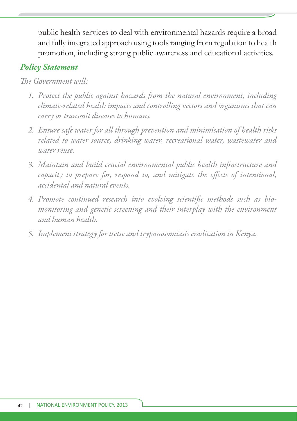public health services to deal with environmental hazards require a broad and fully integrated approach using tools ranging from regulation to health promotion, including strong public awareness and educational activities.

#### *Policy Statement*

- *1. Protect the public against hazards from the natural environment, including climate-related health impacts and controlling vectors and organisms that can carry or transmit diseases to humans.*
- *2. Ensure safe water for all through prevention and minimisation of health risks related to water source, drinking water, recreational water, wastewater and water reuse.*
- 3. Maintain and build crucial environmental public health infrastructure and *capacity to prepare for, respond to, and mitigate the effects of intentional, accidental and natural events.*
- 4. Promote continued research into evolving scientific methods such as bio*monitoring and genetic screening and their interplay with the environment and human health.*
- *5. Implement strategy for tsetse and trypanosomiasis eradication in Kenya.*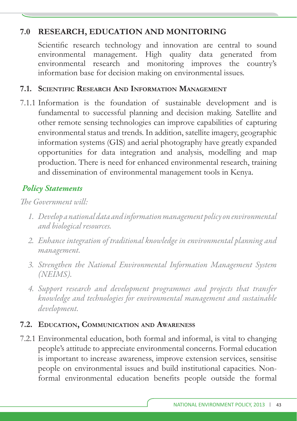## **7.0 RESEARCH, EDUCATION AND MONITORING**

Scientific research technology and innovation are central to sound environmental management. High quality data generated from environmental research and monitoring improves the country's information base for decision making on environmental issues.

#### **7.1. SCIENTIFIC RESEARCH AND INFORMATION MANAGEMENT**

7.1.1 Information is the foundation of sustainable development and is fundamental to successful planning and decision making. Satellite and other remote sensing technologies can improve capabilities of capturing environmental status and trends. In addition, satellite imagery, geographic information systems (GIS) and aerial photography have greatly expanded opportunities for data integration and analysis, modelling and map production. There is need for enhanced environmental research, training and dissemination of environmental management tools in Kenya.

## *Policy Statements*

*The Government will:* 

- *1. Develop a national data and information management policy on environmental and biological resources.*
- *2. Enhance integration of traditional knowledge in environmental planning and management.*
- *3. Strengthen the National Environmental Information Management System (NEIMS).*
- *4. Support research and development programmes and projects that transfer knowledge and technologies for environmental management and sustainable development.*

#### **7.2. EDUCATION, COMMUNICATION AND AWARENESS**

7.2.1 Environmental education, both formal and informal, is vital to changing people's attitude to appreciate environmental concerns. Formal education is important to increase awareness, improve extension services, sensitise people on environmental issues and build institutional capacities. Nonformal environmental education benefits people outside the formal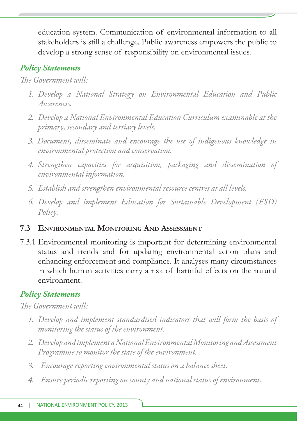education system. Communication of environmental information to all stakeholders is still a challenge. Public awareness empowers the public to develop a strong sense of responsibility on environmental issues.

## *Policy Statements*

*The Government will:* 

- *1. Develop a National Strategy on Environmental Education and Public Awareness.*
- *2. Develop a National Environmental Education Curriculum examinable at the primary, secondary and tertiary levels.*
- *3. Document, disseminate and encourage the use of indigenous knowledge in environmental protection and conservation.*
- *4. Strengthen capacities for acquisition, packaging and dissemination of environmental information.*
- *5. Establish and strengthen environmental resource centres at all levels.*
- *6. Develop and implement Education for Sustainable Development (ESD) Policy.*

## **7.3 ENVIRONMENTAL MONITORING AND ASSESSMENT**

7.3.1 Environmental monitoring is important for determining environmental status and trends and for updating environmental action plans and enhancing enforcement and compliance. It analyses many circumstances in which human activities carry a risk of harmful effects on the natural environment.

## *Policy Statements*

- *1. Develop and implement standardised indicators that will form the basis of monitoring the status of the environment.*
- *2. Develop and implement a National Environmental Monitoring and Assessment Programme to monitor the state of the environment.*
- *3. Encourage reporting environmental status on a balance sheet.*
- *4. Ensure periodic reporting on county and national status of environment.*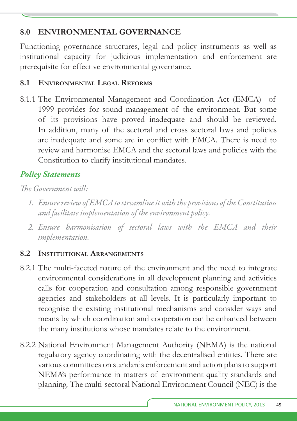## **8.0 ENVIRONMENTAL GOVERNANCE**

Functioning governance structures, legal and policy instruments as well as institutional capacity for judicious implementation and enforcement are prerequisite for effective environmental governance.

## **8.1 ENVIRONMENTAL LEGAL REFORMS**

8.1.1 The Environmental Management and Coordination Act (EMCA) of 1999 provides for sound management of the environment. But some of its provisions have proved inadequate and should be reviewed. In addition, many of the sectoral and cross sectoral laws and policies are inadequate and some are in conflict with EMCA. There is need to review and harmonise EMCA and the sectoral laws and policies with the Constitution to clarify institutional mandates.

## *Policy Statements*

*The Government will:* 

- *1. Ensure review of EMCA to streamline it with the provisions of the Constitution and facilitate implementation of the environment policy.*
- *2. Ensure harmonisation of sectoral laws with the EMCA and their implementation.*

## **8.2 INSTITUTIONAL ARRANGEMENTS**

- 8.2.1 The multi-faceted nature of the environment and the need to integrate environmental considerations in all development planning and activities calls for cooperation and consultation among responsible government agencies and stakeholders at all levels. It is particularly important to recognise the existing institutional mechanisms and consider ways and means by which coordination and cooperation can be enhanced between the many institutions whose mandates relate to the environment.
- 8.2.2 National Environment Management Authority (NEMA) is the national regulatory agency coordinating with the decentralised entities. There are various committees on standards enforcement and action plans to support NEMA's performance in matters of environment quality standards and planning. The multi-sectoral National Environment Council (NEC) is the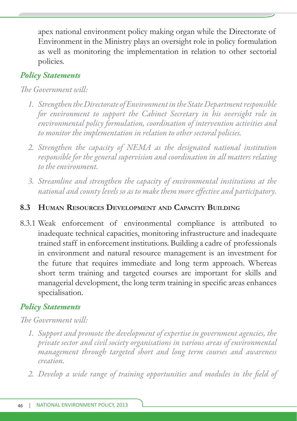apex national environment policy making organ while the Directorate of Environment in the Ministry plays an oversight role in policy formulation as well as monitoring the implementation in relation to other sectorial policies.

## *Policy Statements*

#### *The Government will:*

- *1. Strengthen the Directorate of Environment in the State Department responsible for environment to support the Cabinet Secretary in his oversight role in environmental policy formulation, coordination of intervention activities and to monitor the implementation in relation to other sectoral policies.*
- *2. Strengthen the capacity of NEMA as the designated national institution responsible for the general supervision and coordination in all matters relating to the environment.*
- *3. Streamline and strengthen the capacity of environmental institutions at the national and county levels so as to make them more eff ective and participatory.*

#### **8.3 HUMAN RESOURCES DEVELOPMENT AND CAPACITY BUILDING**

8.3.1 Weak enforcement of environmental compliance is attributed to inadequate technical capacities, monitoring infrastructure and inadequate trained staff in enforcement institutions. Building a cadre of professionals in environment and natural resource management is an investment for the future that requires immediate and long term approach. Whereas short term training and targeted courses are important for skills and managerial development, the long term training in specific areas enhances specialisation.

## *Policy Statements*

- *1. Support and promote the development of expertise in government agencies, the private sector and civil society organisations in various areas of environmental management through targeted short and long term courses and awareness creation.*
- 2. Develop a wide range of training opportunities and modules in the field of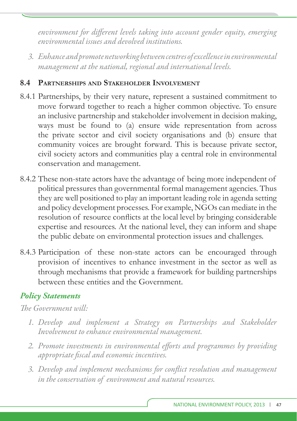environment for different levels taking into account gender equity, emerging *environmental issues and devolved institutions.*

*3. Enhance and promote networking between centres of excellence in environmental management at the national, regional and international levels.*

#### **8.4 PARTNERSHIPS AND STAKEHOLDER INVOLVEMENT**

- 8.4.1 Partnerships, by their very nature, represent a sustained commitment to move forward together to reach a higher common objective. To ensure an inclusive partnership and stakeholder involvement in decision making, ways must be found to (a) ensure wide representation from across the private sector and civil society organisations and (b) ensure that community voices are brought forward. This is because private sector, civil society actors and communities play a central role in environmental conservation and management.
- 8.4.2 These non-state actors have the advantage of being more independent of political pressures than governmental formal management agencies. Thus they are well positioned to play an important leading role in agenda setting and policy development processes. For example, NGOs can mediate in the resolution of resource conflicts at the local level by bringing considerable expertise and resources. At the national level, they can inform and shape the public debate on environmental protection issues and challenges.
- 8.4.3 Participation of these non-state actors can be encouraged through provision of incentives to enhance investment in the sector as well as through mechanisms that provide a framework for building partnerships between these entities and the Government.

## *Policy Statements*

- *1. Develop and implement a Strategy on Partnerships and Stakeholder Involvement to enhance environmental management.*
- 2. Promote investments in environmental efforts and programmes by providing *appropriate fi scal and economic incentives.*
- 3. Develop and implement mechanisms for conflict resolution and management *in the conservation of environment and natural resources.*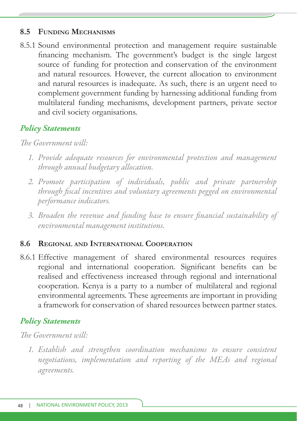#### **8.5 FUNDING MECHANISMS**

8.5.1 Sound environmental protection and management require sustainable financing mechanism. The government's budget is the single largest source of funding for protection and conservation of the environment and natural resources. However, the current allocation to environment and natural resources is inadequate. As such, there is an urgent need to complement government funding by harnessing additional funding from multilateral funding mechanisms, development partners, private sector and civil society organisations.

## *Policy Statements*

## *The Government will*:

- *1. Provide adequate resources for environmental protection and management through annual budgetary allocation.*
- *2. Promote participation of individuals, public and private partnership*  through fiscal incentives and voluntary agreements pegged on environmental *performance indicators.*
- *3. Broaden the revenue and funding base to ensure fi nancial sustainability of environmental management institutions.*

#### **8.6 REGIONAL AND INTERNATIONAL COOPERATION**

8.6.1 Effective management of shared environmental resources requires regional and international cooperation. Significant benefits can be realised and effectiveness increased through regional and international cooperation. Kenya is a party to a number of multilateral and regional environmental agreements. These agreements are important in providing a framework for conservation of shared resources between partner states.

## *Policy Statements*

#### *The Government will*.

*1. Establish and strengthen coordination mechanisms to ensure consistent negotiations, implementation and reporting of the MEAs and regional agreements.*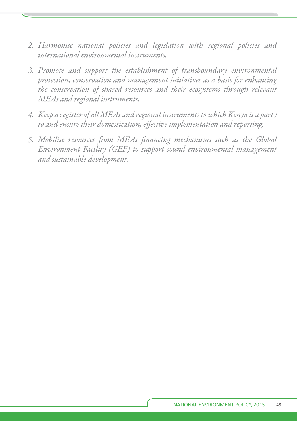- *2. Harmonise national policies and legislation with regional policies and international environmental instruments.*
- *3. Promote and support the establishment of transboundary environmental protection, conservation and management initiatives as a basis for enhancing the conservation of shared resources and their ecosystems through relevant MEAs and regional instruments.*
- *4. Keep a register of all MEAs and regional instruments to which Kenya is a party*  to and ensure their domestication, effective implementation and reporting.
- 5. Mobilise resources from MEAs financing mechanisms such as the Global *Environment Facility (GEF) to support sound environmental management and sustainable development.*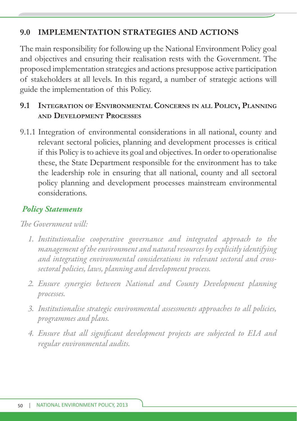## **9.0 IMPLEMENTATION STRATEGIES AND ACTIONS**

The main responsibility for following up the National Environment Policy goal and objectives and ensuring their realisation rests with the Government. The proposed implementation strategies and actions presuppose active participation of stakeholders at all levels. In this regard, a number of strategic actions will guide the implementation of this Policy.

## **9.1 INTEGRATION OF ENVIRONMENTAL CONCERNS IN ALL POLICY, PLANNING AND DEVELOPMENT PROCESSES**

9.1.1 Integration of environmental considerations in all national, county and relevant sectoral policies, planning and development processes is critical if this Policy is to achieve its goal and objectives. In order to operationalise these, the State Department responsible for the environment has to take the leadership role in ensuring that all national, county and all sectoral policy planning and development processes mainstream environmental considerations.

## *Policy Statements*

- *1. Institutionalise cooperative governance and integrated approach to the management of the environment and natural resources by explicitly identifying and integrating environmental considerations in relevant sectoral and crosssectoral policies, laws, planning and development process.*
- *2. Ensure synergies between National and County Development planning processes.*
- *3. Institutionalise strategic environmental assessments approaches to all policies, programmes and plans.*
- 4. Ensure that all significant development projects are subjected to EIA and *regular environmental audits.*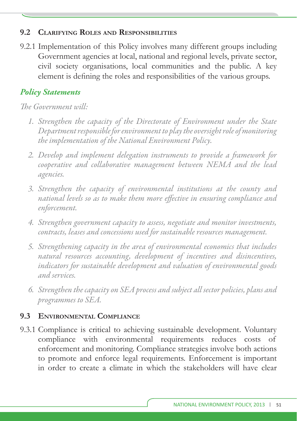#### **9.2 CLARIFYING ROLES AND RESPONSIBILITIES**

9.2.1 Implementation of this Policy involves many different groups including Government agencies at local, national and regional levels, private sector, civil society organisations, local communities and the public. A key element is defining the roles and responsibilities of the various groups.

## *Policy Statements*

*The Government will:* 

- *1. Strengthen the capacity of the Directorate of Environment under the State Department responsible for environment to play the oversight role of monitoring the implementation of the National Environment Policy.*
- 2. Develop and implement delegation instruments to provide a framework for *cooperative and collaborative management between NEMA and the lead agencies.*
- *3. Strengthen the capacity of environmental institutions at the county and national levels so as to make them more effective in ensuring compliance and enforcement.*
- *4. Strengthen government capacity to assess, negotiate and monitor investments, contracts, leases and concessions used for sustainable resources management.*
- *5. Strengthening capacity in the area of environmental economics that includes natural resources accounting, development of incentives and disincentives, indicators for sustainable development and valuation of environmental goods and services.*
- *6. Strengthen the capacity on SEA process and subject all sector policies, plans and programmes to SEA.*

## **9.3 ENVIRONMENTAL COMPLIANCE**

9.3.1 Compliance is critical to achieving sustainable development. Voluntary compliance with environmental requirements reduces costs of enforcement and monitoring. Compliance strategies involve both actions to promote and enforce legal requirements. Enforcement is important in order to create a climate in which the stakeholders will have clear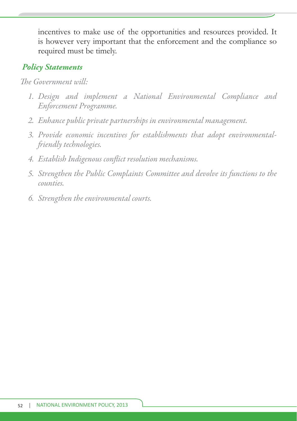incentives to make use of the opportunities and resources provided. It is however very important that the enforcement and the compliance so required must be timely.

#### *Policy Statements*

- *1. Design and implement a National Environmental Compliance and Enforcement Programme.*
- *2. Enhance public private partnerships in environmental management.*
- *3. Provide economic incentives for establishments that adopt environmentalfriendly technologies.*
- *4. Establish Indigenous confl ict resolution mechanisms.*
- *5. Strengthen the Public Complaints Committee and devolve its functions to the counties.*
- *6. Strengthen the environmental courts.*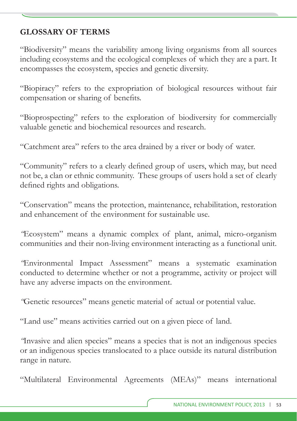## **GLOSSARY OF TERMS**

"Biodiversity" means the variability among living organisms from all sources including ecosystems and the ecological complexes of which they are a part. It encompasses the ecosystem, species and genetic diversity.

"Biopiracy" refers to the expropriation of biological resources without fair compensation or sharing of benefits.

"Bioprospecting" refers to the exploration of biodiversity for commercially valuable genetic and biochemical resources and research.

"Catchment area" refers to the area drained by a river or body of water.

"Community" refers to a clearly defined group of users, which may, but need not be, a clan or ethnic community. These groups of users hold a set of clearly defined rights and obligations.

"Conservation" means the protection, maintenance, rehabilitation, restoration and enhancement of the environment for sustainable use.

*"*Ecosystem" means a dynamic complex of plant, animal, micro-organism communities and their non-living environment interacting as a functional unit.

*"*Environmental Impact Assessment" means a systematic examination conducted to determine whether or not a programme, activity or project will have any adverse impacts on the environment.

*"*Genetic resources" means genetic material of actual or potential value.

"Land use" means activities carried out on a given piece of land.

*"*Invasive and alien species" means a species that is not an indigenous species or an indigenous species translocated to a place outside its natural distribution range in nature.

"Multilateral Environmental Agreements (MEAs)" means international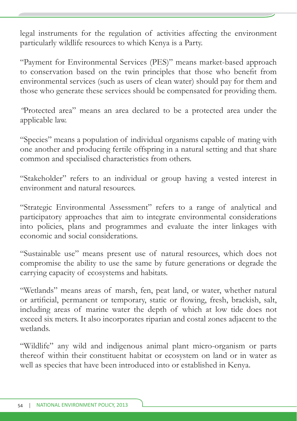legal instruments for the regulation of activities affecting the environment particularly wildlife resources to which Kenya is a Party.

"Payment for Environmental Services (PES)" means market-based approach to conservation based on the twin principles that those who benefit from environmental services (such as users of clean water) should pay for them and those who generate these services should be compensated for providing them.

*"*Protected area" means an area declared to be a protected area under the applicable law.

"Species" means a population of individual organisms capable of mating with one another and producing fertile offspring in a natural setting and that share common and specialised characteristics from others.

"Stakeholder" refers to an individual or group having a vested interest in environment and natural resources.

"Strategic Environmental Assessment" refers to a range of analytical and participatory approaches that aim to integrate environmental considerations into policies, plans and programmes and evaluate the inter linkages with economic and social considerations.

"Sustainable use" means present use of natural resources, which does not compromise the ability to use the same by future generations or degrade the carrying capacity of ecosystems and habitats.

"Wetlands" means areas of marsh, fen, peat land, or water, whether natural or artificial, permanent or temporary, static or flowing, fresh, brackish, salt, including areas of marine water the depth of which at low tide does not exceed six meters. It also incorporates riparian and costal zones adjacent to the wetlands.

"Wildlife" any wild and indigenous animal plant micro-organism or parts thereof within their constituent habitat or ecosystem on land or in water as well as species that have been introduced into or established in Kenya.